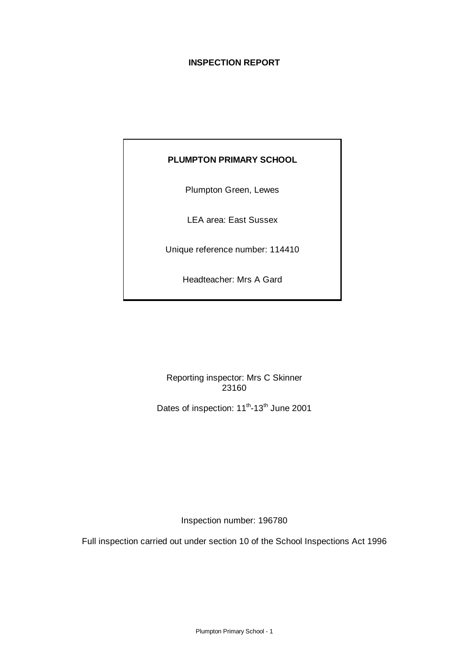# **INSPECTION REPORT**

# **PLUMPTON PRIMARY SCHOOL**

Plumpton Green, Lewes

LEA area: East Sussex

Unique reference number: 114410

Headteacher: Mrs A Gard

Reporting inspector: Mrs C Skinner 23160

Dates of inspection: 11<sup>th</sup>-13<sup>th</sup> June 2001

Inspection number: 196780

Full inspection carried out under section 10 of the School Inspections Act 1996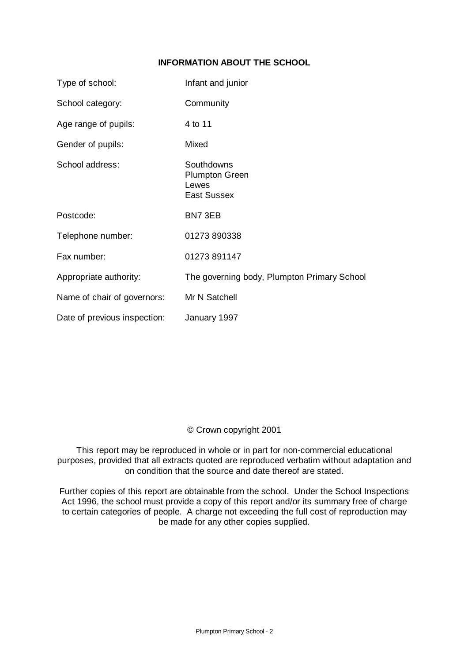## **INFORMATION ABOUT THE SCHOOL**

| Type of school:              | Infant and junior                                                  |
|------------------------------|--------------------------------------------------------------------|
| School category:             | Community                                                          |
| Age range of pupils:         | 4 to 11                                                            |
| Gender of pupils:            | Mixed                                                              |
| School address:              | Southdowns<br><b>Plumpton Green</b><br>Lewes<br><b>East Sussex</b> |
| Postcode:                    | BN7 3EB                                                            |
| Telephone number:            | 01273 890338                                                       |
| Fax number:                  | 01273 891147                                                       |
| Appropriate authority:       | The governing body, Plumpton Primary School                        |
| Name of chair of governors:  | Mr N Satchell                                                      |
| Date of previous inspection: | January 1997                                                       |

## © Crown copyright 2001

This report may be reproduced in whole or in part for non-commercial educational purposes, provided that all extracts quoted are reproduced verbatim without adaptation and on condition that the source and date thereof are stated.

Further copies of this report are obtainable from the school. Under the School Inspections Act 1996, the school must provide a copy of this report and/or its summary free of charge to certain categories of people. A charge not exceeding the full cost of reproduction may be made for any other copies supplied.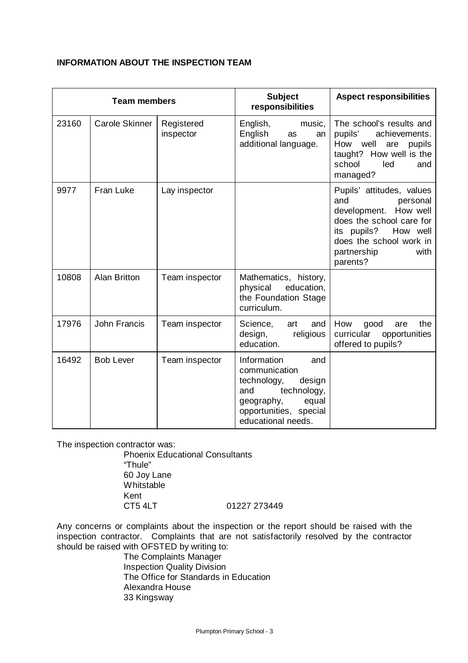## **INFORMATION ABOUT THE INSPECTION TEAM**

| <b>Team members</b> |                       |                         | <b>Subject</b><br>responsibilities                                                                                                                        | <b>Aspect responsibilities</b>                                                                                                                                                             |  |
|---------------------|-----------------------|-------------------------|-----------------------------------------------------------------------------------------------------------------------------------------------------------|--------------------------------------------------------------------------------------------------------------------------------------------------------------------------------------------|--|
| 23160               | <b>Carole Skinner</b> | Registered<br>inspector | English,<br>music,<br>English<br>as<br>an<br>additional language.                                                                                         | The school's results and<br>pupils'<br>achievements.<br>How<br>well<br>pupils<br>are<br>taught? How well is the<br>school<br>led<br>and<br>managed?                                        |  |
| 9977                | Fran Luke             | Lay inspector           |                                                                                                                                                           | Pupils' attitudes, values<br>and<br>personal<br>development. How well<br>does the school care for<br>its pupils?<br>How well<br>does the school work in<br>partnership<br>with<br>parents? |  |
| 10808               | <b>Alan Britton</b>   | Team inspector          | Mathematics, history,<br>physical<br>education,<br>the Foundation Stage<br>curriculum.                                                                    |                                                                                                                                                                                            |  |
| 17976               | John Francis          | Team inspector          | Science,<br>art<br>and<br>design,<br>religious<br>education.                                                                                              | How<br>the<br>good<br>are<br>curricular<br>opportunities<br>offered to pupils?                                                                                                             |  |
| 16492               | <b>Bob Lever</b>      | Team inspector          | Information<br>and<br>communication<br>technology,<br>design<br>technology,<br>and<br>geography,<br>equal<br>opportunities, special<br>educational needs. |                                                                                                                                                                                            |  |

The inspection contractor was:

Phoenix Educational Consultants "Thule" 60 Joy Lane Whitstable Kent<br>CT5 4LT 01227 273449

Any concerns or complaints about the inspection or the report should be raised with the inspection contractor. Complaints that are not satisfactorily resolved by the contractor should be raised with OFSTED by writing to:

The Complaints Manager Inspection Quality Division The Office for Standards in Education Alexandra House 33 Kingsway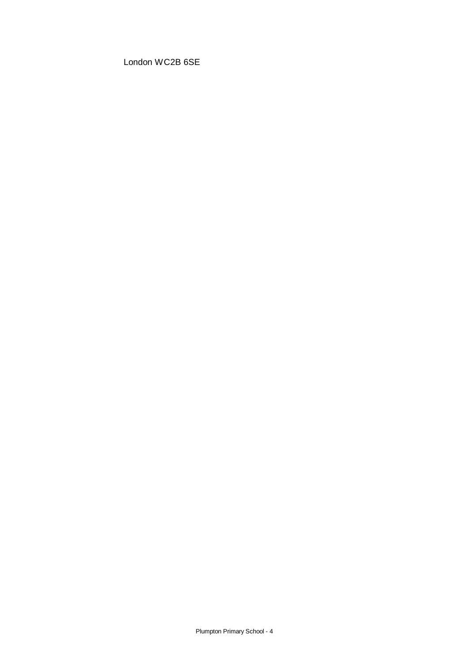London WC2B 6SE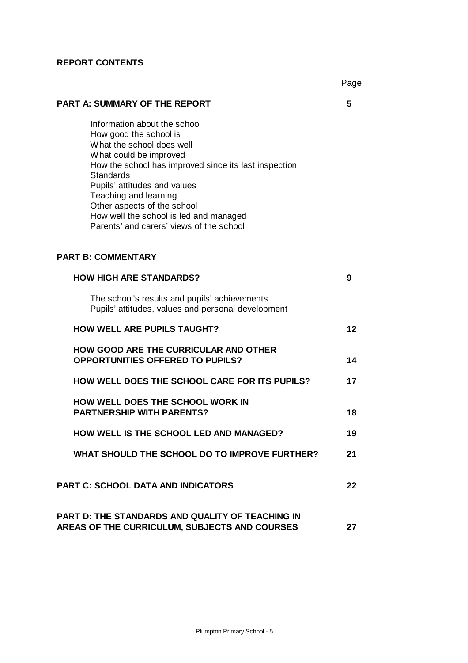#### **REPORT CONTENTS**

Page

# **PART A: SUMMARY OF THE REPORT 5**

Information about the school How good the school is What the school does well What could be improved How the school has improved since its last inspection **Standards** Pupils' attitudes and values Teaching and learning Other aspects of the school How well the school is led and managed Parents' and carers' views of the school

## **PART B: COMMENTARY**

| <b>HOW HIGH ARE STANDARDS?</b>                                                                           | 9  |
|----------------------------------------------------------------------------------------------------------|----|
| The school's results and pupils' achievements<br>Pupils' attitudes, values and personal development      |    |
| <b>HOW WELL ARE PUPILS TAUGHT?</b>                                                                       | 12 |
| <b>HOW GOOD ARE THE CURRICULAR AND OTHER</b><br><b>OPPORTUNITIES OFFERED TO PUPILS?</b>                  | 14 |
| HOW WELL DOES THE SCHOOL CARE FOR ITS PUPILS?                                                            | 17 |
| <b>HOW WELL DOES THE SCHOOL WORK IN</b><br><b>PARTNERSHIP WITH PARENTS?</b>                              | 18 |
| HOW WELL IS THE SCHOOL LED AND MANAGED?                                                                  | 19 |
| WHAT SHOULD THE SCHOOL DO TO IMPROVE FURTHER?                                                            | 21 |
| <b>PART C: SCHOOL DATA AND INDICATORS</b>                                                                | 22 |
| <b>PART D: THE STANDARDS AND QUALITY OF TEACHING IN</b><br>AREAS OF THE CURRICULUM, SUBJECTS AND COURSES | 27 |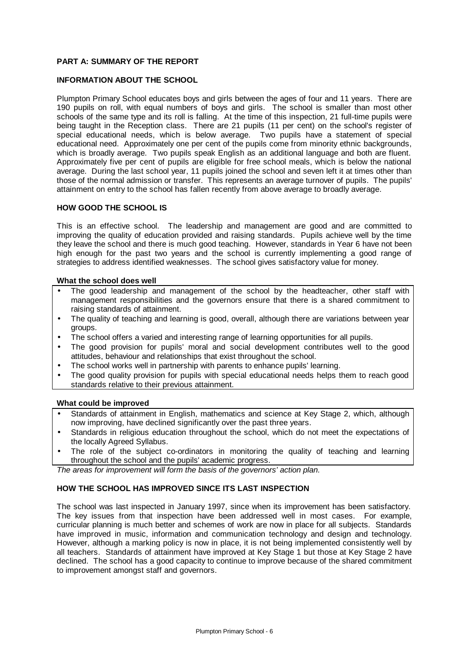#### **PART A: SUMMARY OF THE REPORT**

#### **INFORMATION ABOUT THE SCHOOL**

Plumpton Primary School educates boys and girls between the ages of four and 11 years. There are 190 pupils on roll, with equal numbers of boys and girls. The school is smaller than most other schools of the same type and its roll is falling. At the time of this inspection, 21 full-time pupils were being taught in the Reception class. There are 21 pupils (11 per cent) on the school's register of special educational needs, which is below average. Two pupils have a statement of special educational need. Approximately one per cent of the pupils come from minority ethnic backgrounds, which is broadly average. Two pupils speak English as an additional language and both are fluent. Approximately five per cent of pupils are eligible for free school meals, which is below the national average. During the last school year, 11 pupils joined the school and seven left it at times other than those of the normal admission or transfer. This represents an average turnover of pupils. The pupils' attainment on entry to the school has fallen recently from above average to broadly average.

#### **HOW GOOD THE SCHOOL IS**

This is an effective school. The leadership and management are good and are committed to improving the quality of education provided and raising standards. Pupils achieve well by the time they leave the school and there is much good teaching. However, standards in Year 6 have not been high enough for the past two years and the school is currently implementing a good range of strategies to address identified weaknesses. The school gives satisfactory value for money.

#### **What the school does well**

- The good leadership and management of the school by the headteacher, other staff with management responsibilities and the governors ensure that there is a shared commitment to raising standards of attainment.
- The quality of teaching and learning is good, overall, although there are variations between year groups.
- The school offers a varied and interesting range of learning opportunities for all pupils.
- The good provision for pupils' moral and social development contributes well to the good attitudes, behaviour and relationships that exist throughout the school.
- The school works well in partnership with parents to enhance pupils' learning.
- The good quality provision for pupils with special educational needs helps them to reach good standards relative to their previous attainment.

#### **What could be improved**

- Standards of attainment in English, mathematics and science at Key Stage 2, which, although now improving, have declined significantly over the past three years.
- Standards in religious education throughout the school, which do not meet the expectations of the locally Agreed Syllabus.
- The role of the subject co-ordinators in monitoring the quality of teaching and learning throughout the school and the pupils' academic progress.

*The areas for improvement will form the basis of the governors' action plan.*

#### **HOW THE SCHOOL HAS IMPROVED SINCE ITS LAST INSPECTION**

The school was last inspected in January 1997, since when its improvement has been satisfactory. The key issues from that inspection have been addressed well in most cases. For example, curricular planning is much better and schemes of work are now in place for all subjects. Standards have improved in music, information and communication technology and design and technology. However, although a marking policy is now in place, it is not being implemented consistently well by all teachers. Standards of attainment have improved at Key Stage 1 but those at Key Stage 2 have declined. The school has a good capacity to continue to improve because of the shared commitment to improvement amongst staff and governors.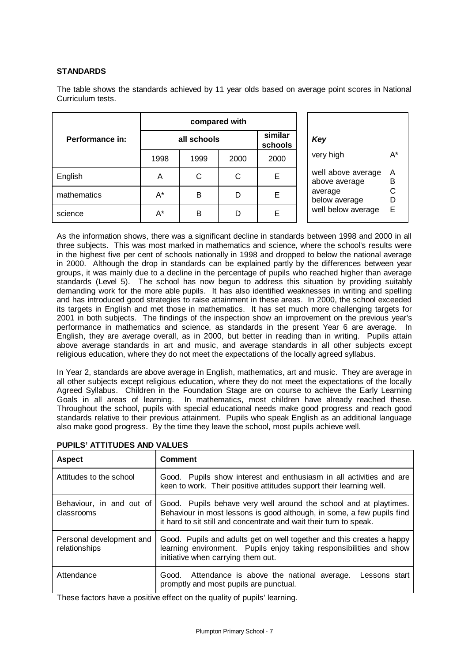#### **STANDARDS**

The table shows the standards achieved by 11 year olds based on average point scores in National Curriculum tests.

|                 |             |      | compared with |                    |                                                |  |  |
|-----------------|-------------|------|---------------|--------------------|------------------------------------------------|--|--|
| Performance in: | all schools |      |               | similar<br>schools | Key                                            |  |  |
|                 | 1998        | 1999 | 2000          | 2000               | very high                                      |  |  |
| English         | A           | С    | C             | Е                  | well above average<br>above average            |  |  |
| mathematics     | A*          | B    | D             | Е                  | average<br>below average<br>well below average |  |  |
| science         | A*          | B    | D             | Е                  |                                                |  |  |

As the information shows, there was a significant decline in standards between 1998 and 2000 in all three subjects. This was most marked in mathematics and science, where the school's results were in the highest five per cent of schools nationally in 1998 and dropped to below the national average in 2000. Although the drop in standards can be explained partly by the differences between year groups, it was mainly due to a decline in the percentage of pupils who reached higher than average standards (Level 5). The school has now begun to address this situation by providing suitably demanding work for the more able pupils. It has also identified weaknesses in writing and spelling and has introduced good strategies to raise attainment in these areas. In 2000, the school exceeded its targets in English and met those in mathematics. It has set much more challenging targets for 2001 in both subjects. The findings of the inspection show an improvement on the previous year's performance in mathematics and science, as standards in the present Year 6 are average. In English, they are average overall, as in 2000, but better in reading than in writing. Pupils attain above average standards in art and music, and average standards in all other subjects except religious education, where they do not meet the expectations of the locally agreed syllabus.

In Year 2, standards are above average in English, mathematics, art and music. They are average in all other subjects except religious education, where they do not meet the expectations of the locally Agreed Syllabus. Children in the Foundation Stage are on course to achieve the Early Learning Goals in all areas of learning. In mathematics, most children have already reached these. Throughout the school, pupils with special educational needs make good progress and reach good standards relative to their previous attainment. Pupils who speak English as an additional language also make good progress. By the time they leave the school, most pupils achieve well.

| <b>Aspect</b>                             | <b>Comment</b>                                                                                                                                                                                                    |  |  |  |
|-------------------------------------------|-------------------------------------------------------------------------------------------------------------------------------------------------------------------------------------------------------------------|--|--|--|
| Attitudes to the school                   | Good. Pupils show interest and enthusiasm in all activities and are<br>keen to work. Their positive attitudes support their learning well.                                                                        |  |  |  |
| Behaviour, in and out of<br>classrooms    | Good. Pupils behave very well around the school and at playtimes.<br>Behaviour in most lessons is good although, in some, a few pupils find<br>it hard to sit still and concentrate and wait their turn to speak. |  |  |  |
| Personal development and<br>relationships | Good. Pupils and adults get on well together and this creates a happy<br>learning environment. Pupils enjoy taking responsibilities and show<br>initiative when carrying them out.                                |  |  |  |
| Attendance                                | Good. Attendance is above the national average.<br>Lessons start<br>promptly and most pupils are punctual.                                                                                                        |  |  |  |

**PUPILS' ATTITUDES AND VALUES**

These factors have a positive effect on the quality of pupils' learning.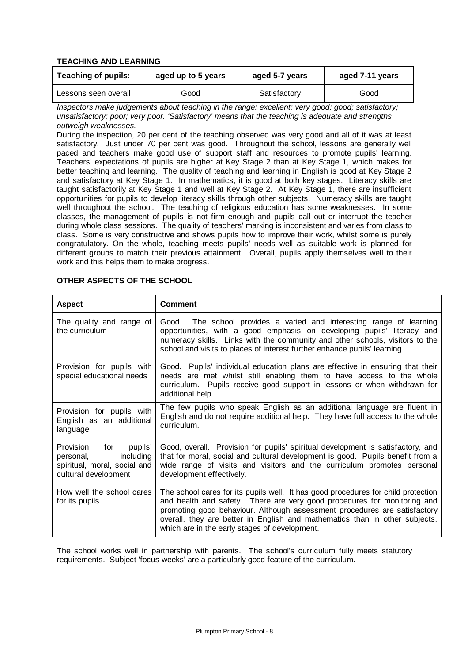#### **TEACHING AND LEARNING**

| <b>Teaching of pupils:</b> | aged up to 5 years | aged 5-7 years | aged 7-11 years |  |
|----------------------------|--------------------|----------------|-----------------|--|
| Lessons seen overall       | Good               | Satisfactory   | Good            |  |

*Inspectors make judgements about teaching in the range: excellent; very good; good; satisfactory; unsatisfactory; poor; very poor. 'Satisfactory' means that the teaching is adequate and strengths outweigh weaknesses.*

During the inspection, 20 per cent of the teaching observed was very good and all of it was at least satisfactory. Just under 70 per cent was good. Throughout the school, lessons are generally well paced and teachers make good use of support staff and resources to promote pupils' learning. Teachers' expectations of pupils are higher at Key Stage 2 than at Key Stage 1, which makes for better teaching and learning. The quality of teaching and learning in English is good at Key Stage 2 and satisfactory at Key Stage 1. In mathematics, it is good at both key stages. Literacy skills are taught satisfactorily at Key Stage 1 and well at Key Stage 2. At Key Stage 1, there are insufficient opportunities for pupils to develop literacy skills through other subjects. Numeracy skills are taught well throughout the school. The teaching of religious education has some weaknesses. In some classes, the management of pupils is not firm enough and pupils call out or interrupt the teacher during whole class sessions. The quality of teachers' marking is inconsistent and varies from class to class. Some is very constructive and shows pupils how to improve their work, whilst some is purely congratulatory. On the whole, teaching meets pupils' needs well as suitable work is planned for different groups to match their previous attainment. Overall, pupils apply themselves well to their work and this helps them to make progress.

| <b>Aspect</b>                                                                                           | <b>Comment</b>                                                                                                                                                                                                                                                                                                                                                             |
|---------------------------------------------------------------------------------------------------------|----------------------------------------------------------------------------------------------------------------------------------------------------------------------------------------------------------------------------------------------------------------------------------------------------------------------------------------------------------------------------|
| The quality and range of<br>the curriculum                                                              | Good. The school provides a varied and interesting range of learning<br>opportunities, with a good emphasis on developing pupils' literacy and<br>numeracy skills. Links with the community and other schools, visitors to the<br>school and visits to places of interest further enhance pupils' learning.                                                                |
| Provision for pupils with<br>special educational needs                                                  | Good. Pupils' individual education plans are effective in ensuring that their<br>needs are met whilst still enabling them to have access to the whole<br>curriculum. Pupils receive good support in lessons or when withdrawn for<br>additional help.                                                                                                                      |
| Provision for pupils with<br>English as an additional<br>language                                       | The few pupils who speak English as an additional language are fluent in<br>English and do not require additional help. They have full access to the whole<br>curriculum.                                                                                                                                                                                                  |
| Provision for pupils'<br>including<br>personal,<br>spiritual, moral, social and<br>cultural development | Good, overall. Provision for pupils' spiritual development is satisfactory, and<br>that for moral, social and cultural development is good. Pupils benefit from a<br>wide range of visits and visitors and the curriculum promotes personal<br>development effectively.                                                                                                    |
| How well the school cares<br>for its pupils                                                             | The school cares for its pupils well. It has good procedures for child protection<br>and health and safety. There are very good procedures for monitoring and<br>promoting good behaviour. Although assessment procedures are satisfactory<br>overall, they are better in English and mathematics than in other subjects,<br>which are in the early stages of development. |

#### **OTHER ASPECTS OF THE SCHOOL**

The school works well in partnership with parents. The school's curriculum fully meets statutory requirements. Subject 'focus weeks' are a particularly good feature of the curriculum.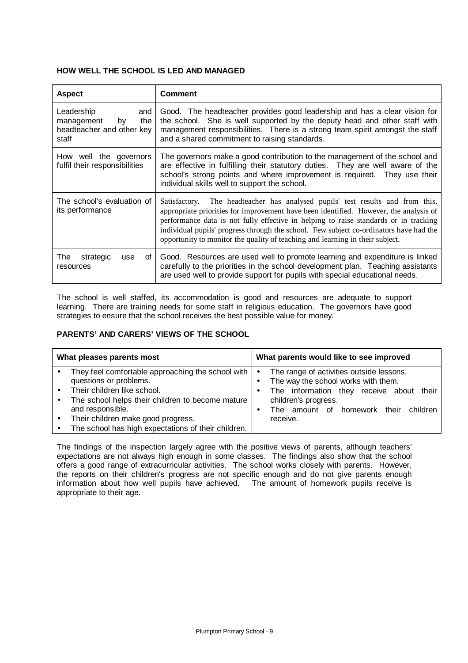#### **HOW WELL THE SCHOOL IS LED AND MANAGED**

| <b>Aspect</b>                                                                      | <b>Comment</b>                                                                                                                                                                                                                                                                                                                                                                                                                             |  |  |
|------------------------------------------------------------------------------------|--------------------------------------------------------------------------------------------------------------------------------------------------------------------------------------------------------------------------------------------------------------------------------------------------------------------------------------------------------------------------------------------------------------------------------------------|--|--|
| Leadership<br>and<br>management<br>the<br>bv<br>headteacher and other key<br>staff | Good. The headteacher provides good leadership and has a clear vision for<br>the school. She is well supported by the deputy head and other staff with<br>management responsibilities. There is a strong team spirit amongst the staff<br>and a shared commitment to raising standards.                                                                                                                                                    |  |  |
| How well the governors<br>fulfil their responsibilities                            | The governors make a good contribution to the management of the school and<br>are effective in fulfilling their statutory duties. They are well aware of the<br>school's strong points and where improvement is required. They use their<br>individual skills well to support the school.                                                                                                                                                  |  |  |
| The school's evaluation of<br>its performance                                      | Satisfactory. The headteacher has analysed pupils' test results and from this,<br>appropriate priorities for improvement have been identified. However, the analysis of<br>performance data is not fully effective in helping to raise standards or in tracking<br>individual pupils' progress through the school. Few subject co-ordinators have had the<br>opportunity to monitor the quality of teaching and learning in their subject. |  |  |
| The<br>strategic<br>οf<br>use<br>resources                                         | Good. Resources are used well to promote learning and expenditure is linked<br>carefully to the priorities in the school development plan. Teaching assistants<br>are used well to provide support for pupils with special educational needs.                                                                                                                                                                                              |  |  |

The school is well staffed, its accommodation is good and resources are adequate to support  $l$ earning. There are training needs for some staff in religious education. The governors have good strategies to ensure that the school receives the best possible value for money.

#### **PARENTS' AND CARERS' VIEWS OF THE SCHOOL**

| What pleases parents most                                                                                                                                                                                                                                                       | What parents would like to see improved                                                                                                                                                                                    |  |  |  |  |
|---------------------------------------------------------------------------------------------------------------------------------------------------------------------------------------------------------------------------------------------------------------------------------|----------------------------------------------------------------------------------------------------------------------------------------------------------------------------------------------------------------------------|--|--|--|--|
| They feel comfortable approaching the school with<br>questions or problems.<br>Their children like school.<br>The school helps their children to become mature<br>and responsible.<br>Their children make good progress.<br>The school has high expectations of their children. | The range of activities outside lessons.<br>$\bullet$<br>The way the school works with them.<br>The information they receive about their<br>٠<br>children's progress.<br>The amount of homework their children<br>receive. |  |  |  |  |

The findings of the inspection largely agree with the positive views of parents, although teachers' expectations are not always high enough in some classes. The findings also show that the school offers a good range of extracurricular activities. The school works closely with parents. However, the reports on their children's progress are not specific enough and do not give parents enough information about how well pupils have achieved. The amount of homework pupils receive is appropriate to their age.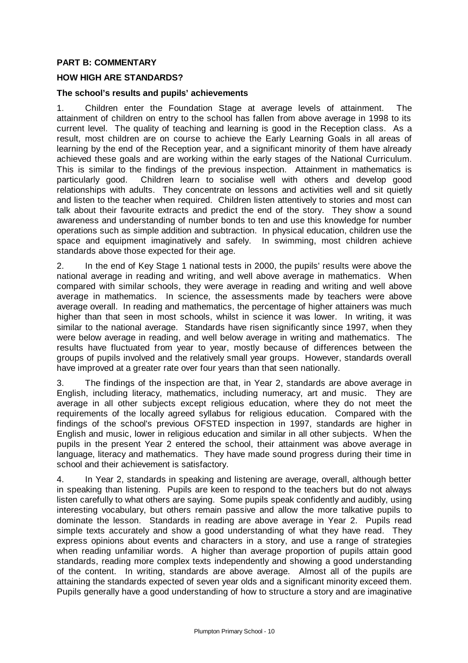## **PART B: COMMENTARY**

## **HOW HIGH ARE STANDARDS?**

#### **The school's results and pupils' achievements**

1. Children enter the Foundation Stage at average levels of attainment. The attainment of children on entry to the school has fallen from above average in 1998 to its current level. The quality of teaching and learning is good in the Reception class. As a result, most children are on course to achieve the Early Learning Goals in all areas of learning by the end of the Reception year, and a significant minority of them have already achieved these goals and are working within the early stages of the National Curriculum. This is similar to the findings of the previous inspection. Attainment in mathematics is particularly good. Children learn to socialise well with others and develop good relationships with adults. They concentrate on lessons and activities well and sit quietly and listen to the teacher when required. Children listen attentively to stories and most can talk about their favourite extracts and predict the end of the story. They show a sound awareness and understanding of number bonds to ten and use this knowledge for number operations such as simple addition and subtraction. In physical education, children use the space and equipment imaginatively and safely. In swimming, most children achieve standards above those expected for their age.

2. In the end of Key Stage 1 national tests in 2000, the pupils' results were above the national average in reading and writing, and well above average in mathematics. When compared with similar schools, they were average in reading and writing and well above average in mathematics. In science, the assessments made by teachers were above average overall. In reading and mathematics, the percentage of higher attainers was much higher than that seen in most schools, whilst in science it was lower. In writing, it was similar to the national average. Standards have risen significantly since 1997, when they were below average in reading, and well below average in writing and mathematics. The results have fluctuated from year to year, mostly because of differences between the groups of pupils involved and the relatively small year groups. However, standards overall have improved at a greater rate over four years than that seen nationally.

3. The findings of the inspection are that, in Year 2, standards are above average in English, including literacy, mathematics, including numeracy, art and music. They are average in all other subjects except religious education, where they do not meet the requirements of the locally agreed syllabus for religious education. Compared with the findings of the school's previous OFSTED inspection in 1997, standards are higher in English and music, lower in religious education and similar in all other subjects. When the pupils in the present Year 2 entered the school, their attainment was above average in language, literacy and mathematics. They have made sound progress during their time in school and their achievement is satisfactory.

4. In Year 2, standards in speaking and listening are average, overall, although better in speaking than listening. Pupils are keen to respond to the teachers but do not always listen carefully to what others are saying. Some pupils speak confidently and audibly, using interesting vocabulary, but others remain passive and allow the more talkative pupils to dominate the lesson. Standards in reading are above average in Year 2. Pupils read simple texts accurately and show a good understanding of what they have read. They express opinions about events and characters in a story, and use a range of strategies when reading unfamiliar words. A higher than average proportion of pupils attain good standards, reading more complex texts independently and showing a good understanding of the content. In writing, standards are above average. Almost all of the pupils are attaining the standards expected of seven year olds and a significant minority exceed them. Pupils generally have a good understanding of how to structure a story and are imaginative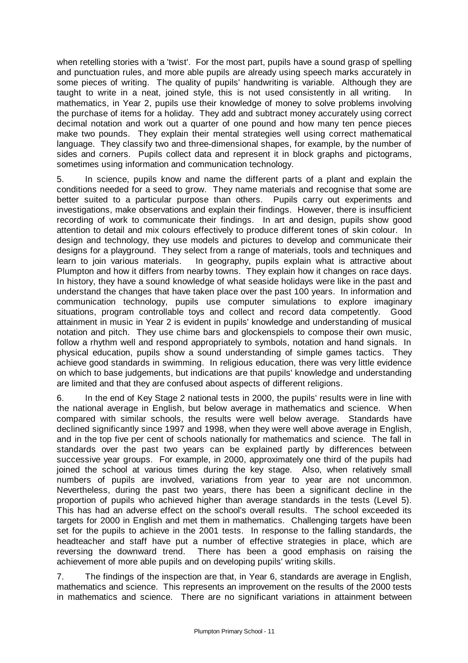when retelling stories with a 'twist'. For the most part, pupils have a sound grasp of spelling and punctuation rules, and more able pupils are already using speech marks accurately in some pieces of writing. The quality of pupils' handwriting is variable. Although they are taught to write in a neat, joined style, this is not used consistently in all writing. In mathematics, in Year 2, pupils use their knowledge of money to solve problems involving the purchase of items for a holiday. They add and subtract money accurately using correct decimal notation and work out a quarter of one pound and how many ten pence pieces make two pounds. They explain their mental strategies well using correct mathematical language. They classify two and three-dimensional shapes, for example, by the number of sides and corners. Pupils collect data and represent it in block graphs and pictograms, sometimes using information and communication technology.

5. In science, pupils know and name the different parts of a plant and explain the conditions needed for a seed to grow. They name materials and recognise that some are better suited to a particular purpose than others. Pupils carry out experiments and investigations, make observations and explain their findings. However, there is insufficient recording of work to communicate their findings. In art and design, pupils show good attention to detail and mix colours effectively to produce different tones of skin colour. In design and technology, they use models and pictures to develop and communicate their designs for a playground. They select from a range of materials, tools and techniques and learn to join various materials. In geography, pupils explain what is attractive about Plumpton and how it differs from nearby towns. They explain how it changes on race days. In history, they have a sound knowledge of what seaside holidays were like in the past and understand the changes that have taken place over the past 100 years. In information and communication technology, pupils use computer simulations to explore imaginary situations, program controllable toys and collect and record data competently. Good attainment in music in Year 2 is evident in pupils' knowledge and understanding of musical notation and pitch. They use chime bars and glockenspiels to compose their own music, follow a rhythm well and respond appropriately to symbols, notation and hand signals. In physical education, pupils show a sound understanding of simple games tactics. They achieve good standards in swimming. In religious education, there was very little evidence on which to base judgements, but indications are that pupils' knowledge and understanding are limited and that they are confused about aspects of different religions.

6. In the end of Key Stage 2 national tests in 2000, the pupils' results were in line with the national average in English, but below average in mathematics and science. When compared with similar schools, the results were well below average. Standards have declined significantly since 1997 and 1998, when they were well above average in English, and in the top five per cent of schools nationally for mathematics and science. The fall in standards over the past two years can be explained partly by differences between successive year groups. For example, in 2000, approximately one third of the pupils had joined the school at various times during the key stage. Also, when relatively small numbers of pupils are involved, variations from year to year are not uncommon. Nevertheless, during the past two years, there has been a significant decline in the proportion of pupils who achieved higher than average standards in the tests (Level 5). This has had an adverse effect on the school's overall results. The school exceeded its targets for 2000 in English and met them in mathematics. Challenging targets have been set for the pupils to achieve in the 2001 tests. In response to the falling standards, the headteacher and staff have put a number of effective strategies in place, which are reversing the downward trend. There has been a good emphasis on raising the achievement of more able pupils and on developing pupils' writing skills.

7. The findings of the inspection are that, in Year 6, standards are average in English, mathematics and science. This represents an improvement on the results of the 2000 tests in mathematics and science. There are no significant variations in attainment between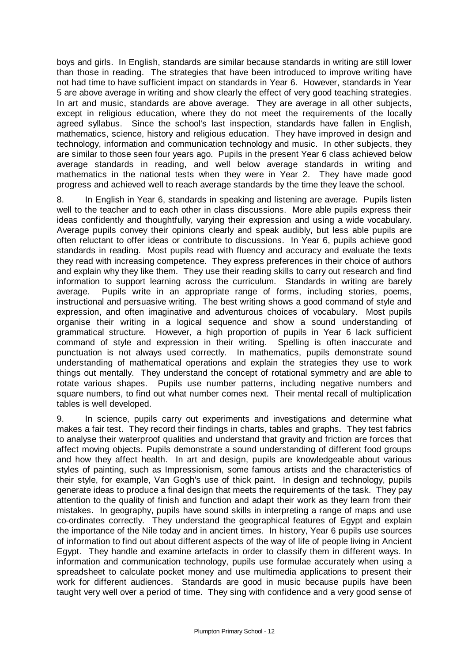boys and girls. In English, standards are similar because standards in writing are still lower than those in reading. The strategies that have been introduced to improve writing have not had time to have sufficient impact on standards in Year 6. However, standards in Year 5 are above average in writing and show clearly the effect of very good teaching strategies. In art and music, standards are above average. They are average in all other subjects, except in religious education, where they do not meet the requirements of the locally agreed syllabus. Since the school's last inspection, standards have fallen in English, mathematics, science, history and religious education. They have improved in design and technology, information and communication technology and music. In other subjects, they are similar to those seen four years ago. Pupils in the present Year 6 class achieved below average standards in reading, and well below average standards in writing and mathematics in the national tests when they were in Year 2. They have made good progress and achieved well to reach average standards by the time they leave the school.

8. In English in Year 6, standards in speaking and listening are average. Pupils listen well to the teacher and to each other in class discussions. More able pupils express their ideas confidently and thoughtfully, varying their expression and using a wide vocabulary. Average pupils convey their opinions clearly and speak audibly, but less able pupils are often reluctant to offer ideas or contribute to discussions. In Year 6, pupils achieve good standards in reading. Most pupils read with fluency and accuracy and evaluate the texts they read with increasing competence. They express preferences in their choice of authors and explain why they like them. They use their reading skills to carry out research and find information to support learning across the curriculum. Standards in writing are barely average. Pupils write in an appropriate range of forms, including stories, poems, instructional and persuasive writing. The best writing shows a good command of style and expression, and often imaginative and adventurous choices of vocabulary. Most pupils organise their writing in a logical sequence and show a sound understanding of grammatical structure. However, a high proportion of pupils in Year 6 lack sufficient command of style and expression in their writing. Spelling is often inaccurate and punctuation is not always used correctly. In mathematics, pupils demonstrate sound understanding of mathematical operations and explain the strategies they use to work things out mentally. They understand the concept of rotational symmetry and are able to rotate various shapes. Pupils use number patterns, including negative numbers and square numbers, to find out what number comes next. Their mental recall of multiplication tables is well developed.

9. In science, pupils carry out experiments and investigations and determine what makes a fair test. They record their findings in charts, tables and graphs. They test fabrics to analyse their waterproof qualities and understand that gravity and friction are forces that affect moving objects. Pupils demonstrate a sound understanding of different food groups and how they affect health. In art and design, pupils are knowledgeable about various styles of painting, such as Impressionism, some famous artists and the characteristics of their style, for example, Van Gogh's use of thick paint. In design and technology, pupils generate ideas to produce a final design that meets the requirements of the task. They pay attention to the quality of finish and function and adapt their work as they learn from their mistakes. In geography, pupils have sound skills in interpreting a range of maps and use co-ordinates correctly. They understand the geographical features of Egypt and explain the importance of the Nile today and in ancient times. In history, Year 6 pupils use sources of information to find out about different aspects of the way of life of people living in Ancient Egypt. They handle and examine artefacts in order to classify them in different ways. In information and communication technology, pupils use formulae accurately when using a spreadsheet to calculate pocket money and use multimedia applications to present their work for different audiences. Standards are good in music because pupils have been taught very well over a period of time. They sing with confidence and a very good sense of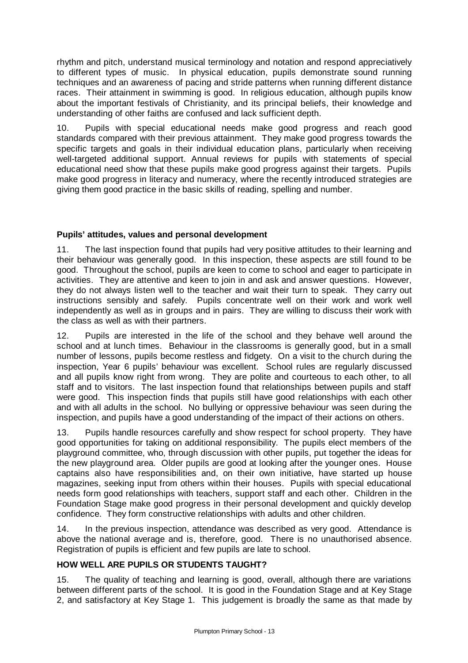rhythm and pitch, understand musical terminology and notation and respond appreciatively to different types of music. In physical education, pupils demonstrate sound running techniques and an awareness of pacing and stride patterns when running different distance races. Their attainment in swimming is good. In religious education, although pupils know about the important festivals of Christianity, and its principal beliefs, their knowledge and understanding of other faiths are confused and lack sufficient depth.

10. Pupils with special educational needs make good progress and reach good standards compared with their previous attainment. They make good progress towards the specific targets and goals in their individual education plans, particularly when receiving well-targeted additional support. Annual reviews for pupils with statements of special educational need show that these pupils make good progress against their targets. Pupils make good progress in literacy and numeracy, where the recently introduced strategies are giving them good practice in the basic skills of reading, spelling and number.

# **Pupils' attitudes, values and personal development**

11. The last inspection found that pupils had very positive attitudes to their learning and their behaviour was generally good. In this inspection, these aspects are still found to be good. Throughout the school, pupils are keen to come to school and eager to participate in activities. They are attentive and keen to join in and ask and answer questions. However, they do not always listen well to the teacher and wait their turn to speak. They carry out instructions sensibly and safely. Pupils concentrate well on their work and work well independently as well as in groups and in pairs. They are willing to discuss their work with the class as well as with their partners.

12. Pupils are interested in the life of the school and they behave well around the school and at lunch times. Behaviour in the classrooms is generally good, but in a small number of lessons, pupils become restless and fidgety. On a visit to the church during the inspection, Year 6 pupils' behaviour was excellent. School rules are regularly discussed and all pupils know right from wrong. They are polite and courteous to each other, to all staff and to visitors. The last inspection found that relationships between pupils and staff were good. This inspection finds that pupils still have good relationships with each other and with all adults in the school. No bullying or oppressive behaviour was seen during the inspection, and pupils have a good understanding of the impact of their actions on others.

13. Pupils handle resources carefully and show respect for school property. They have good opportunities for taking on additional responsibility. The pupils elect members of the playground committee, who, through discussion with other pupils, put together the ideas for the new playground area. Older pupils are good at looking after the younger ones. House captains also have responsibilities and, on their own initiative, have started up house magazines, seeking input from others within their houses. Pupils with special educational needs form good relationships with teachers, support staff and each other. Children in the Foundation Stage make good progress in their personal development and quickly develop confidence. They form constructive relationships with adults and other children.

14. In the previous inspection, attendance was described as very good. Attendance is above the national average and is, therefore, good. There is no unauthorised absence. Registration of pupils is efficient and few pupils are late to school.

## **HOW WELL ARE PUPILS OR STUDENTS TAUGHT?**

15. The quality of teaching and learning is good, overall, although there are variations between different parts of the school. It is good in the Foundation Stage and at Key Stage 2, and satisfactory at Key Stage 1. This judgement is broadly the same as that made by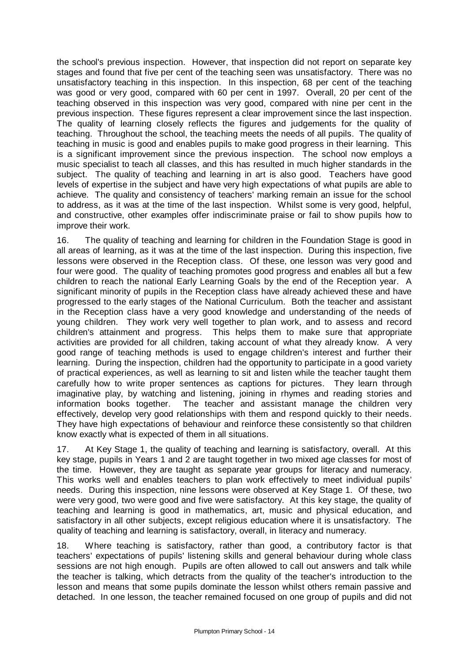the school's previous inspection. However, that inspection did not report on separate key stages and found that five per cent of the teaching seen was unsatisfactory. There was no unsatisfactory teaching in this inspection. In this inspection, 68 per cent of the teaching was good or very good, compared with 60 per cent in 1997. Overall, 20 per cent of the teaching observed in this inspection was very good, compared with nine per cent in the previous inspection. These figures represent a clear improvement since the last inspection. The quality of learning closely reflects the figures and judgements for the quality of teaching. Throughout the school, the teaching meets the needs of all pupils. The quality of teaching in music is good and enables pupils to make good progress in their learning. This is a significant improvement since the previous inspection. The school now employs a music specialist to teach all classes, and this has resulted in much higher standards in the subject. The quality of teaching and learning in art is also good. Teachers have good levels of expertise in the subject and have very high expectations of what pupils are able to achieve. The quality and consistency of teachers' marking remain an issue for the school to address, as it was at the time of the last inspection. Whilst some is very good, helpful, and constructive, other examples offer indiscriminate praise or fail to show pupils how to improve their work.

16. The quality of teaching and learning for children in the Foundation Stage is good in all areas of learning, as it was at the time of the last inspection. During this inspection, five lessons were observed in the Reception class. Of these, one lesson was very good and four were good. The quality of teaching promotes good progress and enables all but a few children to reach the national Early Learning Goals by the end of the Reception year. A significant minority of pupils in the Reception class have already achieved these and have progressed to the early stages of the National Curriculum. Both the teacher and assistant in the Reception class have a very good knowledge and understanding of the needs of young children. They work very well together to plan work, and to assess and record children's attainment and progress. This helps them to make sure that appropriate activities are provided for all children, taking account of what they already know. A very good range of teaching methods is used to engage children's interest and further their learning. During the inspection, children had the opportunity to participate in a good variety of practical experiences, as well as learning to sit and listen while the teacher taught them carefully how to write proper sentences as captions for pictures. They learn through imaginative play, by watching and listening, joining in rhymes and reading stories and information books together. The teacher and assistant manage the children very effectively, develop very good relationships with them and respond quickly to their needs. They have high expectations of behaviour and reinforce these consistently so that children know exactly what is expected of them in all situations.

17. At Key Stage 1, the quality of teaching and learning is satisfactory, overall. At this key stage, pupils in Years 1 and 2 are taught together in two mixed age classes for most of the time. However, they are taught as separate year groups for literacy and numeracy. This works well and enables teachers to plan work effectively to meet individual pupils' needs. During this inspection, nine lessons were observed at Key Stage 1. Of these, two were very good, two were good and five were satisfactory. At this key stage, the quality of teaching and learning is good in mathematics, art, music and physical education, and satisfactory in all other subjects, except religious education where it is unsatisfactory. The quality of teaching and learning is satisfactory, overall, in literacy and numeracy.

18. Where teaching is satisfactory, rather than good, a contributory factor is that teachers' expectations of pupils' listening skills and general behaviour during whole class sessions are not high enough. Pupils are often allowed to call out answers and talk while the teacher is talking, which detracts from the quality of the teacher's introduction to the lesson and means that some pupils dominate the lesson whilst others remain passive and detached. In one lesson, the teacher remained focused on one group of pupils and did not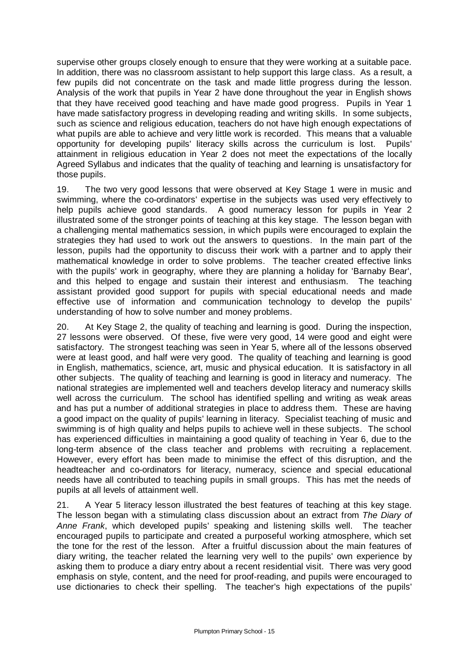supervise other groups closely enough to ensure that they were working at a suitable pace. In addition, there was no classroom assistant to help support this large class. As a result, a few pupils did not concentrate on the task and made little progress during the lesson. Analysis of the work that pupils in Year 2 have done throughout the year in English shows that they have received good teaching and have made good progress. Pupils in Year 1 have made satisfactory progress in developing reading and writing skills. In some subjects, such as science and religious education, teachers do not have high enough expectations of what pupils are able to achieve and very little work is recorded. This means that a valuable opportunity for developing pupils' literacy skills across the curriculum is lost. Pupils' attainment in religious education in Year 2 does not meet the expectations of the locally Agreed Syllabus and indicates that the quality of teaching and learning is unsatisfactory for those pupils.

19. The two very good lessons that were observed at Key Stage 1 were in music and swimming, where the co-ordinators' expertise in the subjects was used very effectively to help pupils achieve good standards. A good numeracy lesson for pupils in Year 2 illustrated some of the stronger points of teaching at this key stage. The lesson began with a challenging mental mathematics session, in which pupils were encouraged to explain the strategies they had used to work out the answers to questions. In the main part of the lesson, pupils had the opportunity to discuss their work with a partner and to apply their mathematical knowledge in order to solve problems. The teacher created effective links with the pupils' work in geography, where they are planning a holiday for 'Barnaby Bear', and this helped to engage and sustain their interest and enthusiasm. The teaching assistant provided good support for pupils with special educational needs and made effective use of information and communication technology to develop the pupils' understanding of how to solve number and money problems.

20. At Key Stage 2, the quality of teaching and learning is good. During the inspection, 27 lessons were observed. Of these, five were very good, 14 were good and eight were satisfactory. The strongest teaching was seen in Year 5, where all of the lessons observed were at least good, and half were very good. The quality of teaching and learning is good in English, mathematics, science, art, music and physical education. It is satisfactory in all other subjects. The quality of teaching and learning is good in literacy and numeracy. The national strategies are implemented well and teachers develop literacy and numeracy skills well across the curriculum. The school has identified spelling and writing as weak areas and has put a number of additional strategies in place to address them. These are having a good impact on the quality of pupils' learning in literacy. Specialist teaching of music and swimming is of high quality and helps pupils to achieve well in these subjects. The school has experienced difficulties in maintaining a good quality of teaching in Year 6, due to the long-term absence of the class teacher and problems with recruiting a replacement. However, every effort has been made to minimise the effect of this disruption, and the headteacher and co-ordinators for literacy, numeracy, science and special educational needs have all contributed to teaching pupils in small groups. This has met the needs of pupils at all levels of attainment well.

21. A Year 5 literacy lesson illustrated the best features of teaching at this key stage. The lesson began with a stimulating class discussion about an extract from *The Diary of Anne Frank*, which developed pupils' speaking and listening skills well. The teacher encouraged pupils to participate and created a purposeful working atmosphere, which set the tone for the rest of the lesson. After a fruitful discussion about the main features of diary writing, the teacher related the learning very well to the pupils' own experience by asking them to produce a diary entry about a recent residential visit. There was very good emphasis on style, content, and the need for proof-reading, and pupils were encouraged to use dictionaries to check their spelling. The teacher's high expectations of the pupils'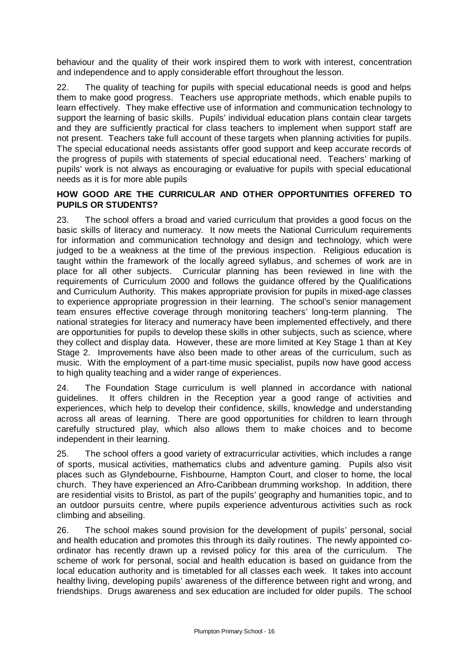behaviour and the quality of their work inspired them to work with interest, concentration and independence and to apply considerable effort throughout the lesson.

22. The quality of teaching for pupils with special educational needs is good and helps them to make good progress. Teachers use appropriate methods, which enable pupils to learn effectively. They make effective use of information and communication technology to support the learning of basic skills. Pupils' individual education plans contain clear targets and they are sufficiently practical for class teachers to implement when support staff are not present. Teachers take full account of these targets when planning activities for pupils. The special educational needs assistants offer good support and keep accurate records of the progress of pupils with statements of special educational need. Teachers' marking of pupils' work is not always as encouraging or evaluative for pupils with special educational needs as it is for more able pupils

## **HOW GOOD ARE THE CURRICULAR AND OTHER OPPORTUNITIES OFFERED TO PUPILS OR STUDENTS?**

23. The school offers a broad and varied curriculum that provides a good focus on the basic skills of literacy and numeracy. It now meets the National Curriculum requirements for information and communication technology and design and technology, which were judged to be a weakness at the time of the previous inspection. Religious education is taught within the framework of the locally agreed syllabus, and schemes of work are in place for all other subjects. Curricular planning has been reviewed in line with the requirements of Curriculum 2000 and follows the guidance offered by the Qualifications and Curriculum Authority. This makes appropriate provision for pupils in mixed-age classes to experience appropriate progression in their learning. The school's senior management team ensures effective coverage through monitoring teachers' long-term planning. The national strategies for literacy and numeracy have been implemented effectively, and there are opportunities for pupils to develop these skills in other subjects, such as science, where they collect and display data. However, these are more limited at Key Stage 1 than at Key Stage 2. Improvements have also been made to other areas of the curriculum, such as music. With the employment of a part-time music specialist, pupils now have good access to high quality teaching and a wider range of experiences.

24. The Foundation Stage curriculum is well planned in accordance with national guidelines. It offers children in the Reception year a good range of activities and experiences, which help to develop their confidence, skills, knowledge and understanding across all areas of learning. There are good opportunities for children to learn through carefully structured play, which also allows them to make choices and to become independent in their learning.

25. The school offers a good variety of extracurricular activities, which includes a range of sports, musical activities, mathematics clubs and adventure gaming. Pupils also visit places such as Glyndebourne, Fishbourne, Hampton Court, and closer to home, the local church. They have experienced an Afro-Caribbean drumming workshop. In addition, there are residential visits to Bristol, as part of the pupils' geography and humanities topic, and to an outdoor pursuits centre, where pupils experience adventurous activities such as rock climbing and abseiling.

26. The school makes sound provision for the development of pupils' personal, social and health education and promotes this through its daily routines. The newly appointed coordinator has recently drawn up a revised policy for this area of the curriculum. The scheme of work for personal, social and health education is based on guidance from the local education authority and is timetabled for all classes each week. It takes into account healthy living, developing pupils' awareness of the difference between right and wrong, and friendships. Drugs awareness and sex education are included for older pupils. The school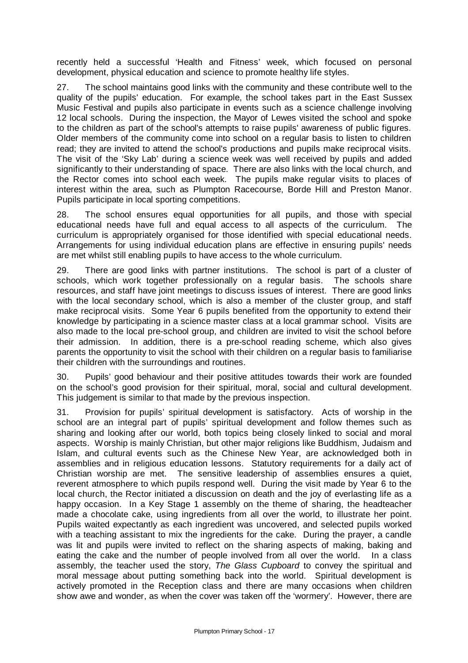recently held a successful 'Health and Fitness' week, which focused on personal development, physical education and science to promote healthy life styles.

27. The school maintains good links with the community and these contribute well to the quality of the pupils' education. For example, the school takes part in the East Sussex Music Festival and pupils also participate in events such as a science challenge involving 12 local schools. During the inspection, the Mayor of Lewes visited the school and spoke to the children as part of the school's attempts to raise pupils' awareness of public figures. Older members of the community come into school on a regular basis to listen to children read; they are invited to attend the school's productions and pupils make reciprocal visits. The visit of the 'Sky Lab' during a science week was well received by pupils and added significantly to their understanding of space. There are also links with the local church, and the Rector comes into school each week. The pupils make regular visits to places of interest within the area, such as Plumpton Racecourse, Borde Hill and Preston Manor. Pupils participate in local sporting competitions.

28. The school ensures equal opportunities for all pupils, and those with special educational needs have full and equal access to all aspects of the curriculum. The curriculum is appropriately organised for those identified with special educational needs. Arrangements for using individual education plans are effective in ensuring pupils' needs are met whilst still enabling pupils to have access to the whole curriculum.

29. There are good links with partner institutions. The school is part of a cluster of schools, which work together professionally on a regular basis. The schools share resources, and staff have joint meetings to discuss issues of interest. There are good links with the local secondary school, which is also a member of the cluster group, and staff make reciprocal visits. Some Year 6 pupils benefited from the opportunity to extend their knowledge by participating in a science master class at a local grammar school. Visits are also made to the local pre-school group, and children are invited to visit the school before their admission. In addition, there is a pre-school reading scheme, which also gives parents the opportunity to visit the school with their children on a regular basis to familiarise their children with the surroundings and routines.

30. Pupils' good behaviour and their positive attitudes towards their work are founded on the school's good provision for their spiritual, moral, social and cultural development. This judgement is similar to that made by the previous inspection.

31. Provision for pupils' spiritual development is satisfactory. Acts of worship in the school are an integral part of pupils' spiritual development and follow themes such as sharing and looking after our world, both topics being closely linked to social and moral aspects. Worship is mainly Christian, but other major religions like Buddhism, Judaism and Islam, and cultural events such as the Chinese New Year, are acknowledged both in assemblies and in religious education lessons. Statutory requirements for a daily act of Christian worship are met. The sensitive leadership of assemblies ensures a quiet, reverent atmosphere to which pupils respond well. During the visit made by Year 6 to the local church, the Rector initiated a discussion on death and the joy of everlasting life as a happy occasion. In a Key Stage 1 assembly on the theme of sharing, the headteacher made a chocolate cake, using ingredients from all over the world, to illustrate her point. Pupils waited expectantly as each ingredient was uncovered, and selected pupils worked with a teaching assistant to mix the ingredients for the cake. During the prayer, a candle was lit and pupils were invited to reflect on the sharing aspects of making, baking and eating the cake and the number of people involved from all over the world. In a class assembly, the teacher used the story, *The Glass Cupboard* to convey the spiritual and moral message about putting something back into the world. Spiritual development is actively promoted in the Reception class and there are many occasions when children show awe and wonder, as when the cover was taken off the 'wormery'. However, there are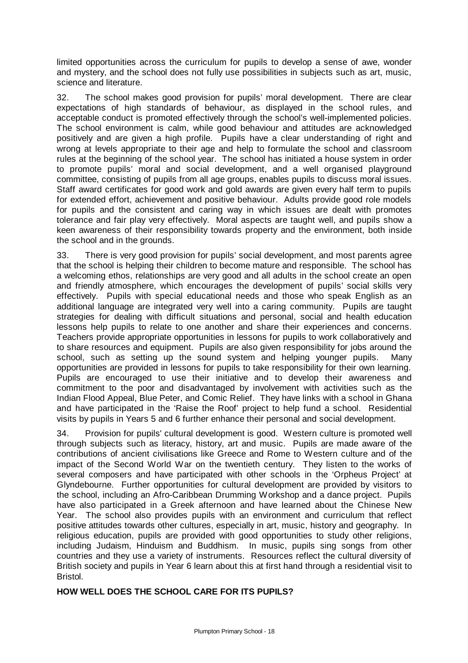limited opportunities across the curriculum for pupils to develop a sense of awe, wonder and mystery, and the school does not fully use possibilities in subjects such as art, music, science and literature.

32. The school makes good provision for pupils' moral development. There are clear expectations of high standards of behaviour, as displayed in the school rules, and acceptable conduct is promoted effectively through the school's well-implemented policies. The school environment is calm, while good behaviour and attitudes are acknowledged positively and are given a high profile. Pupils have a clear understanding of right and wrong at levels appropriate to their age and help to formulate the school and classroom rules at the beginning of the school year. The school has initiated a house system in order to promote pupils' moral and social development, and a well organised playground committee, consisting of pupils from all age groups, enables pupils to discuss moral issues. Staff award certificates for good work and gold awards are given every half term to pupils for extended effort, achievement and positive behaviour. Adults provide good role models for pupils and the consistent and caring way in which issues are dealt with promotes tolerance and fair play very effectively. Moral aspects are taught well, and pupils show a keen awareness of their responsibility towards property and the environment, both inside the school and in the grounds.

33. There is very good provision for pupils' social development, and most parents agree that the school is helping their children to become mature and responsible. The school has a welcoming ethos, relationships are very good and all adults in the school create an open and friendly atmosphere, which encourages the development of pupils' social skills very effectively. Pupils with special educational needs and those who speak English as an additional language are integrated very well into a caring community. Pupils are taught strategies for dealing with difficult situations and personal, social and health education lessons help pupils to relate to one another and share their experiences and concerns. Teachers provide appropriate opportunities in lessons for pupils to work collaboratively and to share resources and equipment. Pupils are also given responsibility for jobs around the school, such as setting up the sound system and helping younger pupils. Many opportunities are provided in lessons for pupils to take responsibility for their own learning. Pupils are encouraged to use their initiative and to develop their awareness and commitment to the poor and disadvantaged by involvement with activities such as the Indian Flood Appeal, Blue Peter, and Comic Relief. They have links with a school in Ghana and have participated in the 'Raise the Roof' project to help fund a school. Residential visits by pupils in Years 5 and 6 further enhance their personal and social development.

34. Provision for pupils' cultural development is good. Western culture is promoted well through subjects such as literacy, history, art and music. Pupils are made aware of the contributions of ancient civilisations like Greece and Rome to Western culture and of the impact of the Second World War on the twentieth century. They listen to the works of several composers and have participated with other schools in the 'Orpheus Project' at Glyndebourne. Further opportunities for cultural development are provided by visitors to the school, including an Afro-Caribbean Drumming Workshop and a dance project. Pupils have also participated in a Greek afternoon and have learned about the Chinese New Year. The school also provides pupils with an environment and curriculum that reflect positive attitudes towards other cultures, especially in art, music, history and geography. In religious education, pupils are provided with good opportunities to study other religions, including Judaism, Hinduism and Buddhism. In music, pupils sing songs from other countries and they use a variety of instruments. Resources reflect the cultural diversity of British society and pupils in Year 6 learn about this at first hand through a residential visit to Bristol.

# **HOW WELL DOES THE SCHOOL CARE FOR ITS PUPILS?**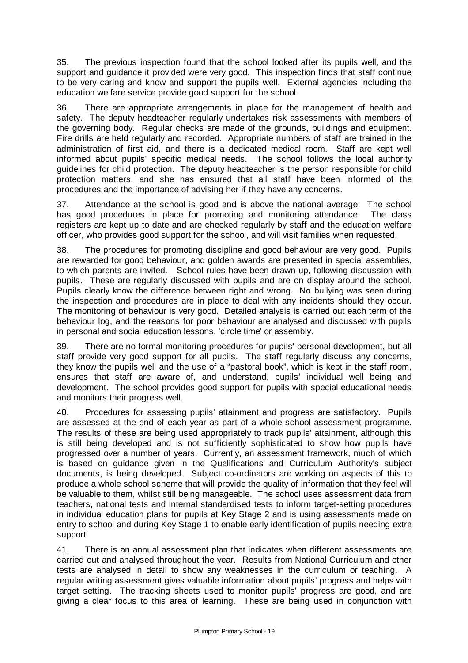35. The previous inspection found that the school looked after its pupils well, and the support and guidance it provided were very good. This inspection finds that staff continue to be very caring and know and support the pupils well. External agencies including the education welfare service provide good support for the school.

36. There are appropriate arrangements in place for the management of health and safety. The deputy headteacher regularly undertakes risk assessments with members of the governing body. Regular checks are made of the grounds, buildings and equipment. Fire drills are held regularly and recorded. Appropriate numbers of staff are trained in the administration of first aid, and there is a dedicated medical room. Staff are kept well informed about pupils' specific medical needs. The school follows the local authority guidelines for child protection. The deputy headteacher is the person responsible for child protection matters, and she has ensured that all staff have been informed of the procedures and the importance of advising her if they have any concerns.

37. Attendance at the school is good and is above the national average. The school has good procedures in place for promoting and monitoring attendance. The class registers are kept up to date and are checked regularly by staff and the education welfare officer, who provides good support for the school, and will visit families when requested.

38. The procedures for promoting discipline and good behaviour are very good. Pupils are rewarded for good behaviour, and golden awards are presented in special assemblies, to which parents are invited. School rules have been drawn up, following discussion with pupils. These are regularly discussed with pupils and are on display around the school. Pupils clearly know the difference between right and wrong. No bullying was seen during the inspection and procedures are in place to deal with any incidents should they occur. The monitoring of behaviour is very good. Detailed analysis is carried out each term of the behaviour log, and the reasons for poor behaviour are analysed and discussed with pupils in personal and social education lessons, 'circle time' or assembly.

39. There are no formal monitoring procedures for pupils' personal development, but all staff provide very good support for all pupils. The staff regularly discuss any concerns, they know the pupils well and the use of a "pastoral book", which is kept in the staff room, ensures that staff are aware of, and understand, pupils' individual well being and development. The school provides good support for pupils with special educational needs and monitors their progress well.

40. Procedures for assessing pupils' attainment and progress are satisfactory. Pupils are assessed at the end of each year as part of a whole school assessment programme. The results of these are being used appropriately to track pupils' attainment, although this is still being developed and is not sufficiently sophisticated to show how pupils have progressed over a number of years. Currently, an assessment framework, much of which is based on guidance given in the Qualifications and Curriculum Authority's subject documents, is being developed. Subject co-ordinators are working on aspects of this to produce a whole school scheme that will provide the quality of information that they feel will be valuable to them, whilst still being manageable. The school uses assessment data from teachers, national tests and internal standardised tests to inform target-setting procedures in individual education plans for pupils at Key Stage 2 and is using assessments made on entry to school and during Key Stage 1 to enable early identification of pupils needing extra support.

41. There is an annual assessment plan that indicates when different assessments are carried out and analysed throughout the year. Results from National Curriculum and other tests are analysed in detail to show any weaknesses in the curriculum or teaching. A regular writing assessment gives valuable information about pupils' progress and helps with target setting. The tracking sheets used to monitor pupils' progress are good, and are giving a clear focus to this area of learning. These are being used in conjunction with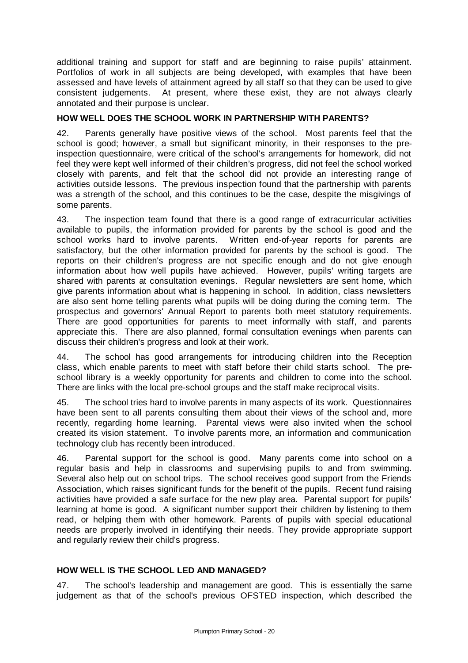additional training and support for staff and are beginning to raise pupils' attainment. Portfolios of work in all subjects are being developed, with examples that have been assessed and have levels of attainment agreed by all staff so that they can be used to give consistent judgements. At present, where these exist, they are not always clearly annotated and their purpose is unclear.

## **HOW WELL DOES THE SCHOOL WORK IN PARTNERSHIP WITH PARENTS?**

42. Parents generally have positive views of the school. Most parents feel that the school is good; however, a small but significant minority, in their responses to the preinspection questionnaire, were critical of the school's arrangements for homework, did not feel they were kept well informed of their children's progress, did not feel the school worked closely with parents, and felt that the school did not provide an interesting range of activities outside lessons. The previous inspection found that the partnership with parents was a strength of the school, and this continues to be the case, despite the misgivings of some parents.

43. The inspection team found that there is a good range of extracurricular activities available to pupils, the information provided for parents by the school is good and the school works hard to involve parents. Written end-of-year reports for parents are satisfactory, but the other information provided for parents by the school is good. The reports on their children's progress are not specific enough and do not give enough information about how well pupils have achieved. However, pupils' writing targets are shared with parents at consultation evenings. Regular newsletters are sent home, which give parents information about what is happening in school. In addition, class newsletters are also sent home telling parents what pupils will be doing during the coming term. The prospectus and governors' Annual Report to parents both meet statutory requirements. There are good opportunities for parents to meet informally with staff, and parents appreciate this. There are also planned, formal consultation evenings when parents can discuss their children's progress and look at their work.

44. The school has good arrangements for introducing children into the Reception class, which enable parents to meet with staff before their child starts school. The preschool library is a weekly opportunity for parents and children to come into the school. There are links with the local pre-school groups and the staff make reciprocal visits.

45. The school tries hard to involve parents in many aspects of its work. Questionnaires have been sent to all parents consulting them about their views of the school and, more recently, regarding home learning. Parental views were also invited when the school created its vision statement. To involve parents more, an information and communication technology club has recently been introduced.

46. Parental support for the school is good. Many parents come into school on a regular basis and help in classrooms and supervising pupils to and from swimming. Several also help out on school trips. The school receives good support from the Friends Association, which raises significant funds for the benefit of the pupils. Recent fund raising activities have provided a safe surface for the new play area. Parental support for pupils' learning at home is good. A significant number support their children by listening to them read, or helping them with other homework. Parents of pupils with special educational needs are properly involved in identifying their needs. They provide appropriate support and regularly review their child's progress.

# **HOW WELL IS THE SCHOOL LED AND MANAGED?**

47. The school's leadership and management are good. This is essentially the same judgement as that of the school's previous OFSTED inspection, which described the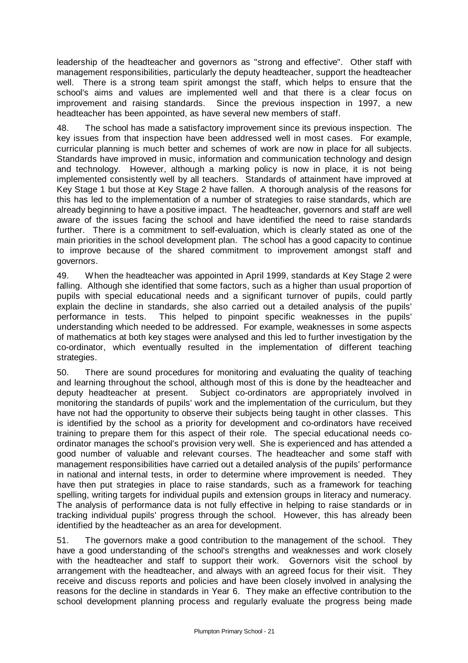leadership of the headteacher and governors as "strong and effective". Other staff with management responsibilities, particularly the deputy headteacher, support the headteacher well. There is a strong team spirit amongst the staff, which helps to ensure that the school's aims and values are implemented well and that there is a clear focus on improvement and raising standards. Since the previous inspection in 1997, a new headteacher has been appointed, as have several new members of staff.

48. The school has made a satisfactory improvement since its previous inspection. The key issues from that inspection have been addressed well in most cases. For example, curricular planning is much better and schemes of work are now in place for all subjects. Standards have improved in music, information and communication technology and design and technology. However, although a marking policy is now in place, it is not being implemented consistently well by all teachers. Standards of attainment have improved at Key Stage 1 but those at Key Stage 2 have fallen. A thorough analysis of the reasons for this has led to the implementation of a number of strategies to raise standards, which are already beginning to have a positive impact. The headteacher, governors and staff are well aware of the issues facing the school and have identified the need to raise standards further. There is a commitment to self-evaluation, which is clearly stated as one of the main priorities in the school development plan. The school has a good capacity to continue to improve because of the shared commitment to improvement amongst staff and governors.

49. When the headteacher was appointed in April 1999, standards at Key Stage 2 were falling. Although she identified that some factors, such as a higher than usual proportion of pupils with special educational needs and a significant turnover of pupils, could partly explain the decline in standards, she also carried out a detailed analysis of the pupils' performance in tests. This helped to pinpoint specific weaknesses in the pupils' understanding which needed to be addressed. For example, weaknesses in some aspects of mathematics at both key stages were analysed and this led to further investigation by the co-ordinator, which eventually resulted in the implementation of different teaching strategies.

50. There are sound procedures for monitoring and evaluating the quality of teaching and learning throughout the school, although most of this is done by the headteacher and deputy headteacher at present. Subject co-ordinators are appropriately involved in monitoring the standards of pupils' work and the implementation of the curriculum, but they have not had the opportunity to observe their subjects being taught in other classes. This is identified by the school as a priority for development and co-ordinators have received training to prepare them for this aspect of their role. The special educational needs coordinator manages the school's provision very well. She is experienced and has attended a good number of valuable and relevant courses. The headteacher and some staff with management responsibilities have carried out a detailed analysis of the pupils' performance in national and internal tests, in order to determine where improvement is needed. They have then put strategies in place to raise standards, such as a framework for teaching spelling, writing targets for individual pupils and extension groups in literacy and numeracy. The analysis of performance data is not fully effective in helping to raise standards or in tracking individual pupils' progress through the school. However, this has already been identified by the headteacher as an area for development.

51. The governors make a good contribution to the management of the school. They have a good understanding of the school's strengths and weaknesses and work closely with the headteacher and staff to support their work. Governors visit the school by arrangement with the headteacher, and always with an agreed focus for their visit. They receive and discuss reports and policies and have been closely involved in analysing the reasons for the decline in standards in Year 6. They make an effective contribution to the school development planning process and regularly evaluate the progress being made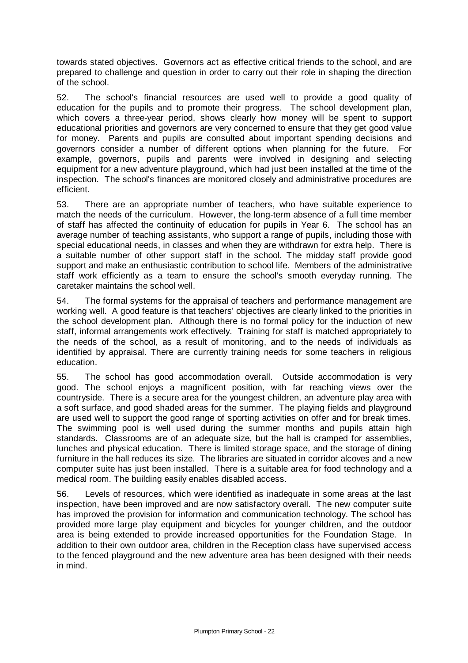towards stated objectives. Governors act as effective critical friends to the school, and are prepared to challenge and question in order to carry out their role in shaping the direction of the school.

52. The school's financial resources are used well to provide a good quality of education for the pupils and to promote their progress. The school development plan, which covers a three-year period, shows clearly how money will be spent to support educational priorities and governors are very concerned to ensure that they get good value for money. Parents and pupils are consulted about important spending decisions and governors consider a number of different options when planning for the future. For example, governors, pupils and parents were involved in designing and selecting equipment for a new adventure playground, which had just been installed at the time of the inspection. The school's finances are monitored closely and administrative procedures are efficient.

53. There are an appropriate number of teachers, who have suitable experience to match the needs of the curriculum. However, the long-term absence of a full time member of staff has affected the continuity of education for pupils in Year 6. The school has an average number of teaching assistants, who support a range of pupils, including those with special educational needs, in classes and when they are withdrawn for extra help. There is a suitable number of other support staff in the school. The midday staff provide good support and make an enthusiastic contribution to school life. Members of the administrative staff work efficiently as a team to ensure the school's smooth everyday running. The caretaker maintains the school well.

54. The formal systems for the appraisal of teachers and performance management are working well. A good feature is that teachers' objectives are clearly linked to the priorities in the school development plan. Although there is no formal policy for the induction of new staff, informal arrangements work effectively. Training for staff is matched appropriately to the needs of the school, as a result of monitoring, and to the needs of individuals as identified by appraisal. There are currently training needs for some teachers in religious education.

55. The school has good accommodation overall. Outside accommodation is very good. The school enjoys a magnificent position, with far reaching views over the countryside. There is a secure area for the youngest children, an adventure play area with a soft surface, and good shaded areas for the summer. The playing fields and playground are used well to support the good range of sporting activities on offer and for break times. The swimming pool is well used during the summer months and pupils attain high standards. Classrooms are of an adequate size, but the hall is cramped for assemblies, lunches and physical education. There is limited storage space, and the storage of dining furniture in the hall reduces its size. The libraries are situated in corridor alcoves and a new computer suite has just been installed. There is a suitable area for food technology and a medical room. The building easily enables disabled access.

56. Levels of resources, which were identified as inadequate in some areas at the last inspection, have been improved and are now satisfactory overall. The new computer suite has improved the provision for information and communication technology. The school has provided more large play equipment and bicycles for younger children, and the outdoor area is being extended to provide increased opportunities for the Foundation Stage. In addition to their own outdoor area, children in the Reception class have supervised access to the fenced playground and the new adventure area has been designed with their needs in mind.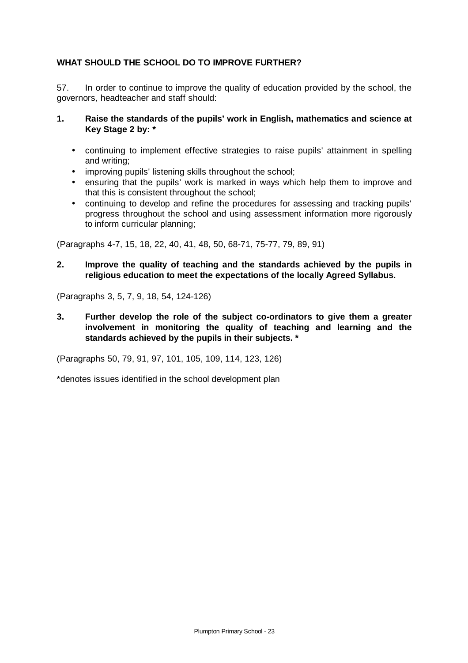## **WHAT SHOULD THE SCHOOL DO TO IMPROVE FURTHER?**

57. In order to continue to improve the quality of education provided by the school, the governors, headteacher and staff should:

### **1. Raise the standards of the pupils' work in English, mathematics and science at Key Stage 2 by: \***

- continuing to implement effective strategies to raise pupils' attainment in spelling and writing;
- improving pupils' listening skills throughout the school;
- ensuring that the pupils' work is marked in ways which help them to improve and that this is consistent throughout the school;
- continuing to develop and refine the procedures for assessing and tracking pupils' progress throughout the school and using assessment information more rigorously to inform curricular planning;

(Paragraphs 4-7, 15, 18, 22, 40, 41, 48, 50, 68-71, 75-77, 79, 89, 91)

**2. Improve the quality of teaching and the standards achieved by the pupils in religious education to meet the expectations of the locally Agreed Syllabus.**

(Paragraphs 3, 5, 7, 9, 18, 54, 124-126)

**3. Further develop the role of the subject co-ordinators to give them a greater involvement in monitoring the quality of teaching and learning and the standards achieved by the pupils in their subjects. \***

(Paragraphs 50, 79, 91, 97, 101, 105, 109, 114, 123, 126)

\*denotes issues identified in the school development plan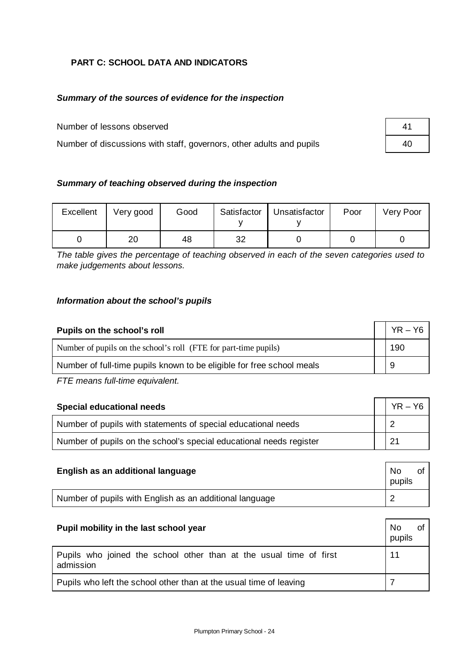# **PART C: SCHOOL DATA AND INDICATORS**

## *Summary of the sources of evidence for the inspection*

Number of lessons observed 41

Number of discussions with staff, governors, other adults and pupils  $\vert$  40

| Summary of teaching observed during the inspection |
|----------------------------------------------------|
|----------------------------------------------------|

| Excellent | Very good | Good |    | Satisfactor   Unsatisfactor | Poor | Very Poor |
|-----------|-----------|------|----|-----------------------------|------|-----------|
|           | 20        | 48   | 32 |                             |      |           |

*The table gives the percentage of teaching observed in each of the seven categories used to make judgements about lessons.*

## *Information about the school's pupils*

| Pupils on the school's roll                                           | $YR - Y6$ |
|-----------------------------------------------------------------------|-----------|
| Number of pupils on the school's roll (FTE for part-time pupils)      | 190       |
| Number of full-time pupils known to be eligible for free school meals |           |
| FTE means full-time equivalent.                                       |           |

| <b>Special educational needs</b>                                    | $YR - Y6$ |
|---------------------------------------------------------------------|-----------|
| Number of pupils with statements of special educational needs       |           |
| Number of pupils on the school's special educational needs register |           |

| English as an additional language                       | No.<br>pupils |  |
|---------------------------------------------------------|---------------|--|
| Number of pupils with English as an additional language |               |  |

| <b>No</b><br>Pupil mobility in the last school year<br>pupils                   |    |  |  |  |
|---------------------------------------------------------------------------------|----|--|--|--|
| Pupils who joined the school other than at the usual time of first<br>admission | 11 |  |  |  |
| Pupils who left the school other than at the usual time of leaving              |    |  |  |  |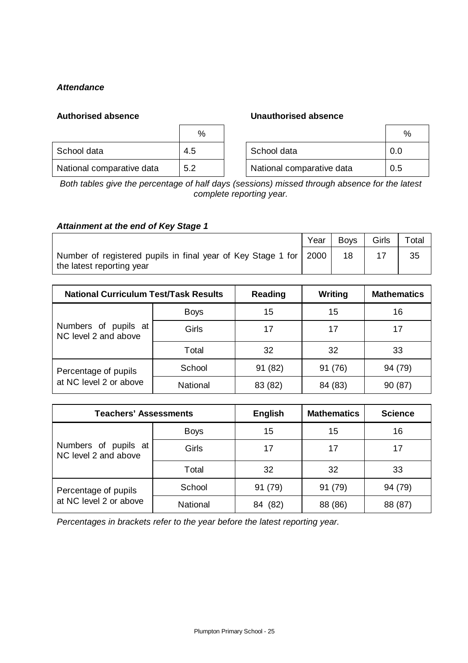## *Attendance*

### **Authorised absence Unauthorised absence**

|                           | %   |                           | %   |
|---------------------------|-----|---------------------------|-----|
| School data               | 4.5 | School data               | 0.0 |
| National comparative data | 5.2 | National comparative data | 0.5 |

*Both tables give the percentage of half days (sessions) missed through absence for the latest complete reporting year.*

## *Attainment at the end of Key Stage 1*

|                                                                                                  | Year | <b>Boys</b> | Girls | Total |
|--------------------------------------------------------------------------------------------------|------|-------------|-------|-------|
| Number of registered pupils in final year of Key Stage 1 for   2000<br>the latest reporting year |      | 18          |       | 35    |

| <b>National Curriculum Test/Task Results</b> |             | Reading | Writing | <b>Mathematics</b> |
|----------------------------------------------|-------------|---------|---------|--------------------|
| Numbers of pupils at<br>NC level 2 and above | <b>Boys</b> | 15      | 15      | 16                 |
|                                              | Girls       | 17      | 17      | 17                 |
|                                              | Total       | 32      | 32      | 33                 |
| Percentage of pupils                         | School      | 91 (82) | 91 (76) | 94 (79)            |
| at NC level 2 or above                       | National    | 83 (82) | 84 (83) | 90 (87)            |

| <b>Teachers' Assessments</b>                 |             | <b>English</b> | <b>Mathematics</b> | <b>Science</b> |
|----------------------------------------------|-------------|----------------|--------------------|----------------|
| Numbers of pupils at<br>NC level 2 and above | <b>Boys</b> | 15             | 15                 | 16             |
|                                              | Girls       | 17             | 17                 | 17             |
|                                              | Total       | 32             | 32                 | 33             |
| Percentage of pupils                         | School      | 91 (79)        | 91 (79)            | 94 (79)        |
| at NC level 2 or above                       | National    | (82)<br>84     | 88 (86)            | 88 (87)        |

*Percentages in brackets refer to the year before the latest reporting year.*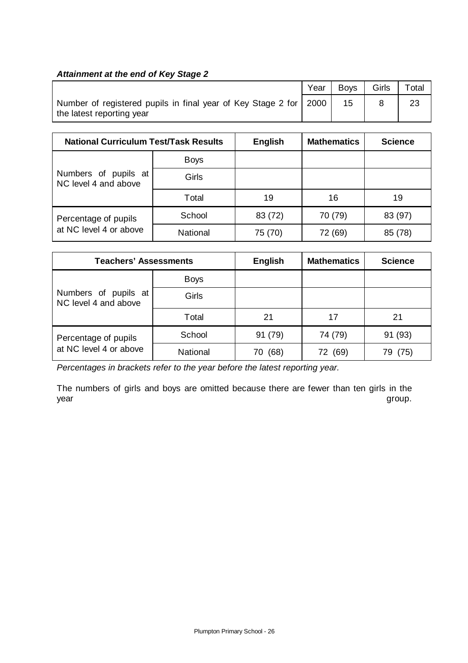## *Attainment at the end of Key Stage 2*

|                                                                                                | Year | <b>Bovs</b> | Girls | Total |
|------------------------------------------------------------------------------------------------|------|-------------|-------|-------|
| Number of registered pupils in final year of Key Stage 2 for 2000<br>the latest reporting year |      | 15          |       |       |

| <b>National Curriculum Test/Task Results</b> |             | <b>English</b> | <b>Mathematics</b> | <b>Science</b> |
|----------------------------------------------|-------------|----------------|--------------------|----------------|
| Numbers of pupils at<br>NC level 4 and above | <b>Boys</b> |                |                    |                |
|                                              | Girls       |                |                    |                |
|                                              | Total       | 19             | 16                 | 19             |
| Percentage of pupils                         | School      | 83 (72)        | 70 (79)            | 83 (97)        |
| at NC level 4 or above                       | National    | 75 (70)        | 72 (69)            | 85 (78)        |

| <b>Teachers' Assessments</b>                 |             | <b>English</b> | <b>Mathematics</b> | <b>Science</b> |
|----------------------------------------------|-------------|----------------|--------------------|----------------|
| Numbers of pupils at<br>NC level 4 and above | <b>Boys</b> |                |                    |                |
|                                              | Girls       |                |                    |                |
|                                              | Total       | 21             | 17                 | 21             |
| Percentage of pupils                         | School      | 91 (79)        | 74 (79)            | 91 (93)        |
| at NC level 4 or above                       | National    | (68)<br>70     | (69)<br>72.        | (75)<br>79.    |

*Percentages in brackets refer to the year before the latest reporting year.*

The numbers of girls and boys are omitted because there are fewer than ten girls in the year group.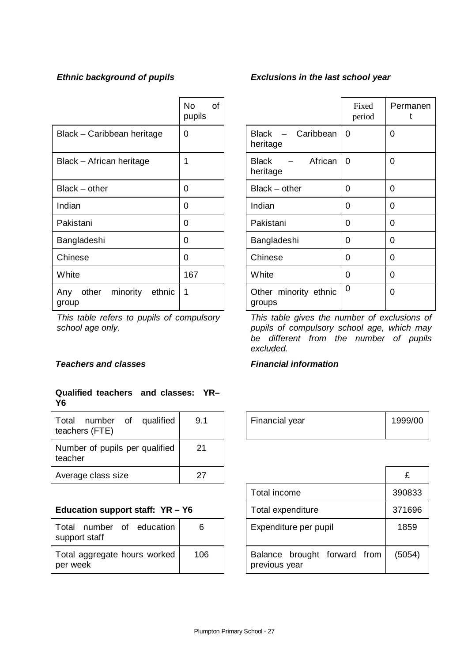|                                             | <b>No</b><br>pupils | <b>of</b> |                                                   | Fixed<br>period | F              |
|---------------------------------------------|---------------------|-----------|---------------------------------------------------|-----------------|----------------|
| Black - Caribbean heritage                  | 0                   |           | Caribbean<br>Black<br>$\qquad \qquad$<br>heritage | 0               | $\overline{0}$ |
| Black - African heritage                    | 1                   |           | African<br><b>Black</b><br>heritage               | 0               | 0              |
| Black – other                               | 0                   |           | $Black - other$                                   | 0               | $\overline{0}$ |
| Indian                                      | 0                   |           | Indian                                            | 0               | $\overline{0}$ |
| Pakistani                                   | 0                   |           | Pakistani                                         | 0               | $\overline{0}$ |
| Bangladeshi                                 | 0                   |           | Bangladeshi                                       | $\Omega$        | $\overline{0}$ |
| Chinese                                     | 0                   |           | Chinese                                           | $\Omega$        | $\overline{0}$ |
| <b>White</b>                                | 167                 |           | White                                             | $\Omega$        | $\overline{0}$ |
| minority<br>other<br>ethnic<br>Any<br>group | 1                   |           | Other minority ethnic<br>groups                   | 0               | $\overline{0}$ |

*This table refers to pupils of compulsory school age only.*

## **Teachers and classes** Financial information

## **Qualified teachers and classes: YR– Y6**

| Total<br>qualified<br>number<br>0f<br>teachers (FTE) | 9.1 | Financial year | 1999 |
|------------------------------------------------------|-----|----------------|------|
| Number of pupils per qualified<br>teacher            | 21  |                |      |
| Average class size                                   | 27  |                | £    |

## Education support staff: YR - Y6

| Total number of education<br>support staff | 6   |
|--------------------------------------------|-----|
| Total aggregate hours worked<br>per week   | 106 |

# *Ethnic background of pupils Exclusions in the last school year*

| No<br><b>of</b><br>pupils |                                       | Fixed<br>period | Permanen<br>t |
|---------------------------|---------------------------------------|-----------------|---------------|
| 0                         | Black - Caribbean<br>heritage         | 0               | 0             |
| 1                         | - African<br><b>Black</b><br>heritage | 0               | 0             |
| 0                         | Black - other                         | 0               | 0             |
| 0                         | Indian                                | 0               | 0             |
| 0                         | Pakistani                             | 0               | 0             |
| 0                         | Bangladeshi                           | 0               | 0             |
| 0                         | Chinese                               | 0               | 0             |
| 167                       | White                                 | 0               | 0             |
| 1                         | Other minority ethnic<br>groups       | 0               | 0             |

*This table gives the number of exclusions of pupils of compulsory school age, which may be different from the number of pupils excluded.*

| 9.1 | Financial year | 1999/00 |
|-----|----------------|---------|
|     |                |         |

| 27  |                                               | £      |
|-----|-----------------------------------------------|--------|
|     | Total income                                  | 390833 |
|     | Total expenditure                             | 371696 |
|     | Expenditure per pupil                         | 1859   |
| 106 | Balance brought forward from<br>previous year | (5054) |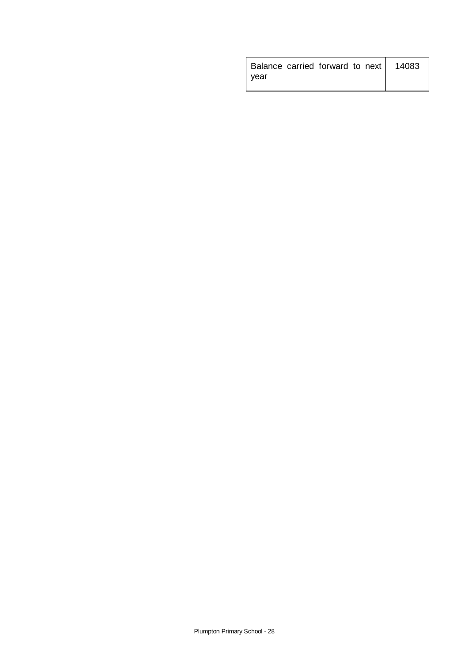| Balance carried forward to next   14083 |  |  |  |
|-----------------------------------------|--|--|--|
| vear                                    |  |  |  |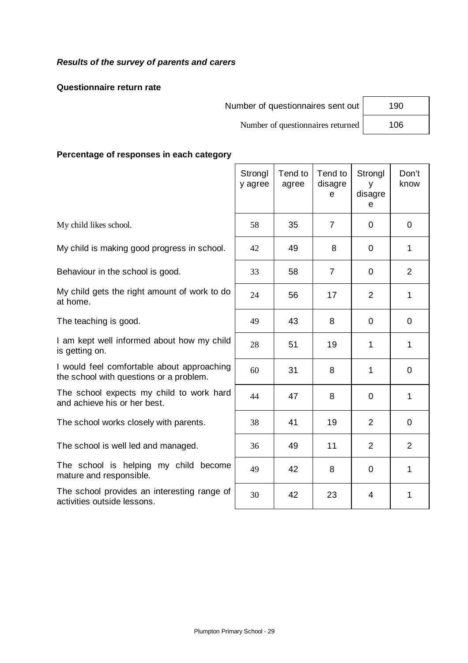# *Results of the survey of parents and carers*

## **Questionnaire return rate**

Number of questionnaires sent out | 190

Number of questionnaires returned 106

**Percentage of responses in each category**

|                                                                                       | Strongl<br>y agree | Tend to<br>agree | Tend to<br>disagre<br>e | Strongl<br>y<br>disagre<br>e | Don't<br>know  |
|---------------------------------------------------------------------------------------|--------------------|------------------|-------------------------|------------------------------|----------------|
| My child likes school.                                                                | 58                 | 35               | $\overline{7}$          | $\Omega$                     | $\overline{0}$ |
| My child is making good progress in school.                                           | 42                 | 49               | 8                       | $\overline{0}$               | $\mathbf{1}$   |
| Behaviour in the school is good.                                                      | 33                 | 58               | $\overline{7}$          | 0                            | $\overline{2}$ |
| My child gets the right amount of work to do<br>at home.                              | 24                 | 56               | 17                      | $\overline{2}$               | 1              |
| The teaching is good.                                                                 | 49                 | 43               | 8                       | $\Omega$                     | $\mathbf 0$    |
| I am kept well informed about how my child<br>is getting on.                          | 28                 | 51               | 19                      | 1                            | $\mathbf{1}$   |
| I would feel comfortable about approaching<br>the school with questions or a problem. | 60                 | 31               | 8                       | 1                            | $\overline{0}$ |
| The school expects my child to work hard<br>and achieve his or her best.              | 44                 | 47               | 8                       | $\Omega$                     | 1              |
| The school works closely with parents.                                                | 38                 | 41               | 19                      | $\overline{2}$               | $\mathbf 0$    |
| The school is well led and managed.                                                   | 36                 | 49               | 11                      | $\overline{2}$               | 2              |
| The school is helping my child become<br>mature and responsible.                      | 49                 | 42               | 8                       | $\Omega$                     | 1              |
| The school provides an interesting range of<br>activities outside lessons.            | 30                 | 42               | 23                      | 4                            | 1              |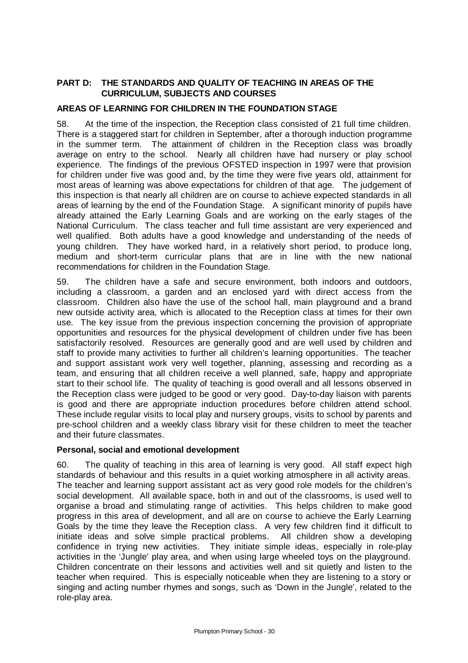## **PART D: THE STANDARDS AND QUALITY OF TEACHING IN AREAS OF THE CURRICULUM, SUBJECTS AND COURSES**

#### **AREAS OF LEARNING FOR CHILDREN IN THE FOUNDATION STAGE**

58. At the time of the inspection, the Reception class consisted of 21 full time children. There is a staggered start for children in September, after a thorough induction programme in the summer term. The attainment of children in the Reception class was broadly average on entry to the school. Nearly all children have had nursery or play school experience. The findings of the previous OFSTED inspection in 1997 were that provision for children under five was good and, by the time they were five years old, attainment for most areas of learning was above expectations for children of that age. The judgement of this inspection is that nearly all children are on course to achieve expected standards in all areas of learning by the end of the Foundation Stage. A significant minority of pupils have already attained the Early Learning Goals and are working on the early stages of the National Curriculum. The class teacher and full time assistant are very experienced and well qualified. Both adults have a good knowledge and understanding of the needs of young children. They have worked hard, in a relatively short period, to produce long, medium and short-term curricular plans that are in line with the new national recommendations for children in the Foundation Stage.

59. The children have a safe and secure environment, both indoors and outdoors, including a classroom, a garden and an enclosed yard with direct access from the classroom. Children also have the use of the school hall, main playground and a brand new outside activity area, which is allocated to the Reception class at times for their own use. The key issue from the previous inspection concerning the provision of appropriate opportunities and resources for the physical development of children under five has been satisfactorily resolved. Resources are generally good and are well used by children and staff to provide many activities to further all children's learning opportunities. The teacher and support assistant work very well together, planning, assessing and recording as a team, and ensuring that all children receive a well planned, safe, happy and appropriate start to their school life. The quality of teaching is good overall and all lessons observed in the Reception class were judged to be good or very good. Day-to-day liaison with parents is good and there are appropriate induction procedures before children attend school. These include regular visits to local play and nursery groups, visits to school by parents and pre-school children and a weekly class library visit for these children to meet the teacher and their future classmates.

#### **Personal, social and emotional development**

60. The quality of teaching in this area of learning is very good. All staff expect high standards of behaviour and this results in a quiet working atmosphere in all activity areas. The teacher and learning support assistant act as very good role models for the children's social development. All available space, both in and out of the classrooms, is used well to organise a broad and stimulating range of activities. This helps children to make good progress in this area of development, and all are on course to achieve the Early Learning Goals by the time they leave the Reception class. A very few children find it difficult to initiate ideas and solve simple practical problems. All children show a developing confidence in trying new activities. They initiate simple ideas, especially in role-play activities in the 'Jungle' play area, and when using large wheeled toys on the playground. Children concentrate on their lessons and activities well and sit quietly and listen to the teacher when required. This is especially noticeable when they are listening to a story or singing and acting number rhymes and songs, such as 'Down in the Jungle', related to the role-play area.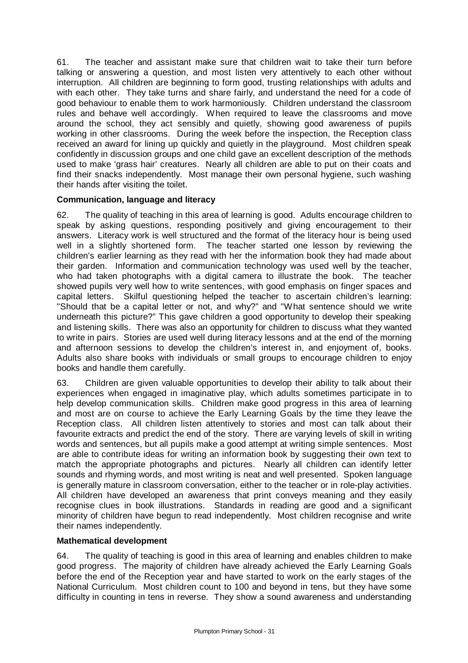61. The teacher and assistant make sure that children wait to take their turn before talking or answering a question, and most listen very attentively to each other without interruption. All children are beginning to form good, trusting relationships with adults and with each other. They take turns and share fairly, and understand the need for a code of good behaviour to enable them to work harmoniously. Children understand the classroom rules and behave well accordingly. When required to leave the classrooms and move around the school, they act sensibly and quietly, showing good awareness of pupils working in other classrooms. During the week before the inspection, the Reception class received an award for lining up quickly and quietly in the playground. Most children speak confidently in discussion groups and one child gave an excellent description of the methods used to make 'grass hair' creatures. Nearly all children are able to put on their coats and find their snacks independently. Most manage their own personal hygiene, such washing their hands after visiting the toilet.

## **Communication, language and literacy**

62. The quality of teaching in this area of learning is good. Adults encourage children to speak by asking questions, responding positively and giving encouragement to their answers. Literacy work is well structured and the format of the literacy hour is being used well in a slightly shortened form. The teacher started one lesson by reviewing the children's earlier learning as they read with her the information book they had made about their garden. Information and communication technology was used well by the teacher, who had taken photographs with a digital camera to illustrate the book. The teacher showed pupils very well how to write sentences, with good emphasis on finger spaces and capital letters. Skilful questioning helped the teacher to ascertain children's learning: "Should that be a capital letter or not, and why?" and "What sentence should we write underneath this picture?" This gave children a good opportunity to develop their speaking and listening skills. There was also an opportunity for children to discuss what they wanted to write in pairs. Stories are used well during literacy lessons and at the end of the morning and afternoon sessions to develop the children's interest in, and enjoyment of, books. Adults also share books with individuals or small groups to encourage children to enjoy books and handle them carefully.

63. Children are given valuable opportunities to develop their ability to talk about their experiences when engaged in imaginative play, which adults sometimes participate in to help develop communication skills. Children make good progress in this area of learning and most are on course to achieve the Early Learning Goals by the time they leave the Reception class. All children listen attentively to stories and most can talk about their favourite extracts and predict the end of the story. There are varying levels of skill in writing words and sentences, but all pupils make a good attempt at writing simple sentences. Most are able to contribute ideas for writing an information book by suggesting their own text to match the appropriate photographs and pictures. Nearly all children can identify letter sounds and rhyming words, and most writing is neat and well presented. Spoken language is generally mature in classroom conversation, either to the teacher or in role-play activities. All children have developed an awareness that print conveys meaning and they easily recognise clues in book illustrations. Standards in reading are good and a significant minority of children have begun to read independently. Most children recognise and write their names independently.

## **Mathematical development**

64. The quality of teaching is good in this area of learning and enables children to make good progress. The majority of children have already achieved the Early Learning Goals before the end of the Reception year and have started to work on the early stages of the National Curriculum. Most children count to 100 and beyond in tens, but they have some difficulty in counting in tens in reverse. They show a sound awareness and understanding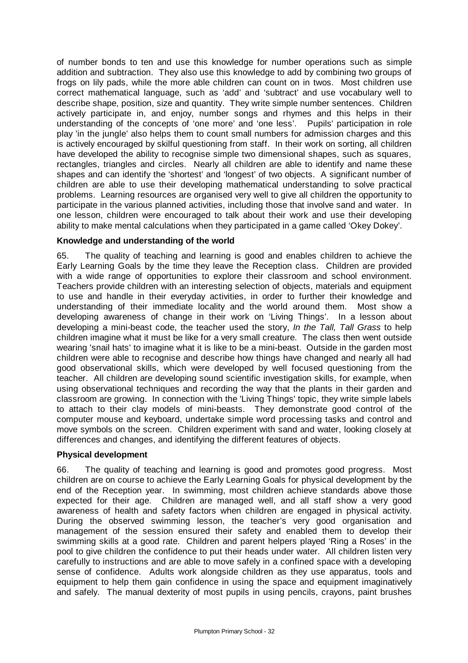of number bonds to ten and use this knowledge for number operations such as simple addition and subtraction. They also use this knowledge to add by combining two groups of frogs on lily pads, while the more able children can count on in twos. Most children use correct mathematical language, such as 'add' and 'subtract' and use vocabulary well to describe shape, position, size and quantity. They write simple number sentences. Children actively participate in, and enjoy, number songs and rhymes and this helps in their understanding of the concepts of 'one more' and 'one less'. Pupils' participation in role play 'in the jungle' also helps them to count small numbers for admission charges and this is actively encouraged by skilful questioning from staff. In their work on sorting, all children have developed the ability to recognise simple two dimensional shapes, such as squares, rectangles, triangles and circles. Nearly all children are able to identify and name these shapes and can identify the 'shortest' and 'longest' of two objects. A significant number of children are able to use their developing mathematical understanding to solve practical problems. Learning resources are organised very well to give all children the opportunity to participate in the various planned activities, including those that involve sand and water. In one lesson, children were encouraged to talk about their work and use their developing ability to make mental calculations when they participated in a game called 'Okey Dokey'.

## **Knowledge and understanding of the world**

65. The quality of teaching and learning is good and enables children to achieve the Early Learning Goals by the time they leave the Reception class. Children are provided with a wide range of opportunities to explore their classroom and school environment. Teachers provide children with an interesting selection of objects, materials and equipment to use and handle in their everyday activities, in order to further their knowledge and understanding of their immediate locality and the world around them. Most show a developing awareness of change in their work on 'Living Things'. In a lesson about developing a mini-beast code, the teacher used the story, *In the Tall, Tall Grass* to help children imagine what it must be like for a very small creature. The class then went outside wearing 'snail hats' to imagine what it is like to be a mini-beast. Outside in the garden most children were able to recognise and describe how things have changed and nearly all had good observational skills, which were developed by well focused questioning from the teacher. All children are developing sound scientific investigation skills, for example, when using observational techniques and recording the way that the plants in their garden and classroom are growing. In connection with the 'Living Things' topic, they write simple labels to attach to their clay models of mini-beasts. They demonstrate good control of the computer mouse and keyboard, undertake simple word processing tasks and control and move symbols on the screen. Children experiment with sand and water, looking closely at differences and changes, and identifying the different features of objects.

## **Physical development**

66. The quality of teaching and learning is good and promotes good progress. Most children are on course to achieve the Early Learning Goals for physical development by the end of the Reception year. In swimming, most children achieve standards above those expected for their age. Children are managed well, and all staff show a very good awareness of health and safety factors when children are engaged in physical activity. During the observed swimming lesson, the teacher's very good organisation and management of the session ensured their safety and enabled them to develop their swimming skills at a good rate. Children and parent helpers played 'Ring a Roses' in the pool to give children the confidence to put their heads under water. All children listen very carefully to instructions and are able to move safely in a confined space with a developing sense of confidence. Adults work alongside children as they use apparatus, tools and equipment to help them gain confidence in using the space and equipment imaginatively and safely. The manual dexterity of most pupils in using pencils, crayons, paint brushes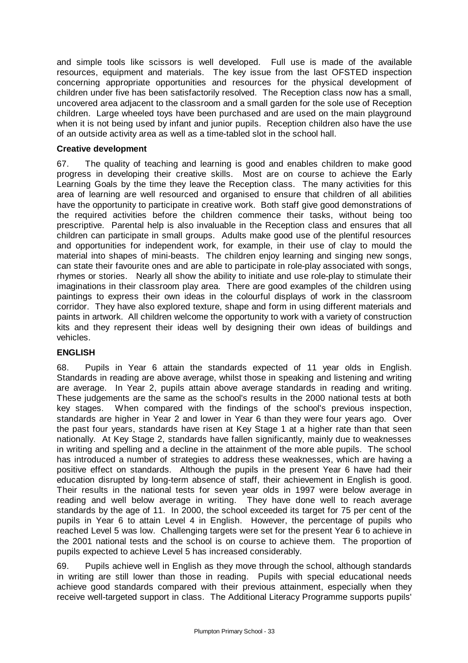and simple tools like scissors is well developed. Full use is made of the available resources, equipment and materials. The key issue from the last OFSTED inspection concerning appropriate opportunities and resources for the physical development of children under five has been satisfactorily resolved. The Reception class now has a small, uncovered area adjacent to the classroom and a small garden for the sole use of Reception children. Large wheeled toys have been purchased and are used on the main playground when it is not being used by infant and junior pupils. Reception children also have the use of an outside activity area as well as a time-tabled slot in the school hall.

## **Creative development**

67. The quality of teaching and learning is good and enables children to make good progress in developing their creative skills. Most are on course to achieve the Early Learning Goals by the time they leave the Reception class. The many activities for this area of learning are well resourced and organised to ensure that children of all abilities have the opportunity to participate in creative work. Both staff give good demonstrations of the required activities before the children commence their tasks, without being too prescriptive. Parental help is also invaluable in the Reception class and ensures that all children can participate in small groups. Adults make good use of the plentiful resources and opportunities for independent work, for example, in their use of clay to mould the material into shapes of mini-beasts. The children enjoy learning and singing new songs, can state their favourite ones and are able to participate in role-play associated with songs, rhymes or stories. Nearly all show the ability to initiate and use role-play to stimulate their imaginations in their classroom play area. There are good examples of the children using paintings to express their own ideas in the colourful displays of work in the classroom corridor. They have also explored texture, shape and form in using different materials and paints in artwork. All children welcome the opportunity to work with a variety of construction kits and they represent their ideas well by designing their own ideas of buildings and vehicles.

# **ENGLISH**

68. Pupils in Year 6 attain the standards expected of 11 year olds in English. Standards in reading are above average, whilst those in speaking and listening and writing are average. In Year 2, pupils attain above average standards in reading and writing. These judgements are the same as the school's results in the 2000 national tests at both key stages. When compared with the findings of the school's previous inspection, standards are higher in Year 2 and lower in Year 6 than they were four years ago. Over the past four years, standards have risen at Key Stage 1 at a higher rate than that seen nationally. At Key Stage 2, standards have fallen significantly, mainly due to weaknesses in writing and spelling and a decline in the attainment of the more able pupils. The school has introduced a number of strategies to address these weaknesses, which are having a positive effect on standards. Although the pupils in the present Year 6 have had their education disrupted by long-term absence of staff, their achievement in English is good. Their results in the national tests for seven year olds in 1997 were below average in reading and well below average in writing. They have done well to reach average standards by the age of 11. In 2000, the school exceeded its target for 75 per cent of the pupils in Year 6 to attain Level 4 in English. However, the percentage of pupils who reached Level 5 was low. Challenging targets were set for the present Year 6 to achieve in the 2001 national tests and the school is on course to achieve them. The proportion of pupils expected to achieve Level 5 has increased considerably.

69. Pupils achieve well in English as they move through the school, although standards in writing are still lower than those in reading. Pupils with special educational needs achieve good standards compared with their previous attainment, especially when they receive well-targeted support in class. The Additional Literacy Programme supports pupils'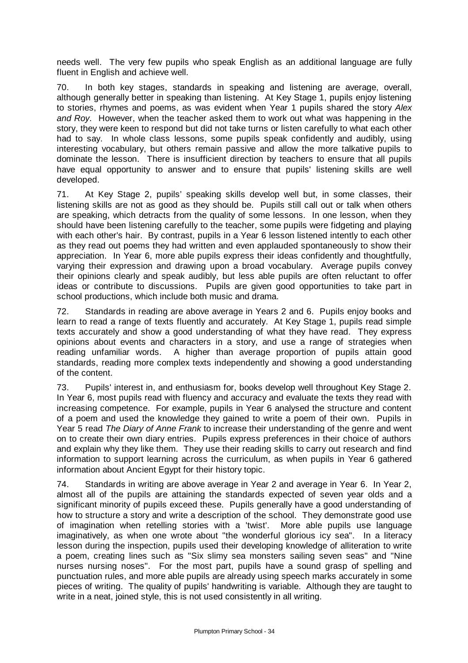needs well. The very few pupils who speak English as an additional language are fully fluent in English and achieve well.

70. In both key stages, standards in speaking and listening are average, overall, although generally better in speaking than listening. At Key Stage 1, pupils enjoy listening to stories, rhymes and poems, as was evident when Year 1 pupils shared the story *Alex and Roy.* However, when the teacher asked them to work out what was happening in the story, they were keen to respond but did not take turns or listen carefully to what each other had to say. In whole class lessons, some pupils speak confidently and audibly, using interesting vocabulary, but others remain passive and allow the more talkative pupils to dominate the lesson. There is insufficient direction by teachers to ensure that all pupils have equal opportunity to answer and to ensure that pupils' listening skills are well developed.

71. At Key Stage 2, pupils' speaking skills develop well but, in some classes, their listening skills are not as good as they should be. Pupils still call out or talk when others are speaking, which detracts from the quality of some lessons. In one lesson, when they should have been listening carefully to the teacher, some pupils were fidgeting and playing with each other's hair. By contrast, pupils in a Year 6 lesson listened intently to each other as they read out poems they had written and even applauded spontaneously to show their appreciation. In Year 6, more able pupils express their ideas confidently and thoughtfully, varying their expression and drawing upon a broad vocabulary. Average pupils convey their opinions clearly and speak audibly, but less able pupils are often reluctant to offer ideas or contribute to discussions. Pupils are given good opportunities to take part in school productions, which include both music and drama.

72. Standards in reading are above average in Years 2 and 6. Pupils enjoy books and learn to read a range of texts fluently and accurately. At Key Stage 1, pupils read simple texts accurately and show a good understanding of what they have read. They express opinions about events and characters in a story, and use a range of strategies when reading unfamiliar words. A higher than average proportion of pupils attain good standards, reading more complex texts independently and showing a good understanding of the content.

73. Pupils' interest in, and enthusiasm for, books develop well throughout Key Stage 2. In Year 6, most pupils read with fluency and accuracy and evaluate the texts they read with increasing competence. For example, pupils in Year 6 analysed the structure and content of a poem and used the knowledge they gained to write a poem of their own. Pupils in Year 5 read *The Diary of Anne Frank* to increase their understanding of the genre and went on to create their own diary entries. Pupils express preferences in their choice of authors and explain why they like them. They use their reading skills to carry out research and find information to support learning across the curriculum, as when pupils in Year 6 gathered information about Ancient Egypt for their history topic.

74. Standards in writing are above average in Year 2 and average in Year 6. In Year 2, almost all of the pupils are attaining the standards expected of seven year olds and a significant minority of pupils exceed these. Pupils generally have a good understanding of how to structure a story and write a description of the school. They demonstrate good use of imagination when retelling stories with a 'twist'. More able pupils use language imaginatively, as when one wrote about "the wonderful glorious icy sea". In a literacy lesson during the inspection, pupils used their developing knowledge of alliteration to write a poem, creating lines such as "Six slimy sea monsters sailing seven seas" and "Nine nurses nursing noses". For the most part, pupils have a sound grasp of spelling and punctuation rules, and more able pupils are already using speech marks accurately in some pieces of writing. The quality of pupils' handwriting is variable. Although they are taught to write in a neat, joined style, this is not used consistently in all writing.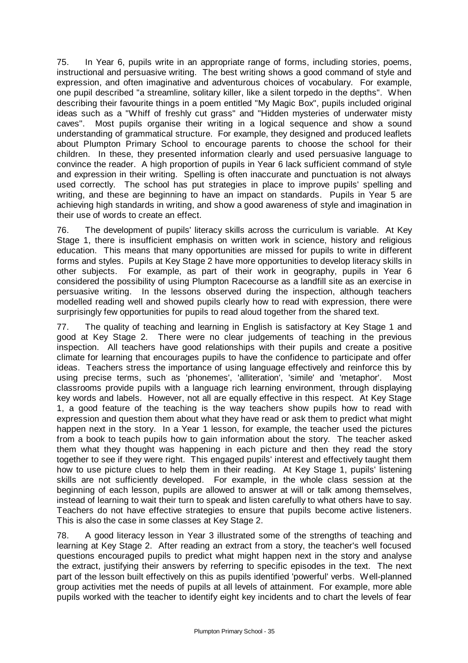75. In Year 6, pupils write in an appropriate range of forms, including stories, poems, instructional and persuasive writing. The best writing shows a good command of style and expression, and often imaginative and adventurous choices of vocabulary. For example, one pupil described "a streamline, solitary killer, like a silent torpedo in the depths". When describing their favourite things in a poem entitled "My Magic Box", pupils included original ideas such as a "Whiff of freshly cut grass" and "Hidden mysteries of underwater misty caves". Most pupils organise their writing in a logical sequence and show a sound understanding of grammatical structure. For example, they designed and produced leaflets about Plumpton Primary School to encourage parents to choose the school for their children. In these, they presented information clearly and used persuasive language to convince the reader. A high proportion of pupils in Year 6 lack sufficient command of style and expression in their writing. Spelling is often inaccurate and punctuation is not always used correctly. The school has put strategies in place to improve pupils' spelling and writing, and these are beginning to have an impact on standards. Pupils in Year 5 are achieving high standards in writing, and show a good awareness of style and imagination in their use of words to create an effect.

76. The development of pupils' literacy skills across the curriculum is variable. At Key Stage 1, there is insufficient emphasis on written work in science, history and religious education. This means that many opportunities are missed for pupils to write in different forms and styles. Pupils at Key Stage 2 have more opportunities to develop literacy skills in other subjects. For example, as part of their work in geography, pupils in Year 6 considered the possibility of using Plumpton Racecourse as a landfill site as an exercise in persuasive writing. In the lessons observed during the inspection, although teachers modelled reading well and showed pupils clearly how to read with expression, there were surprisingly few opportunities for pupils to read aloud together from the shared text.

77. The quality of teaching and learning in English is satisfactory at Key Stage 1 and good at Key Stage 2. There were no clear judgements of teaching in the previous inspection. All teachers have good relationships with their pupils and create a positive climate for learning that encourages pupils to have the confidence to participate and offer ideas. Teachers stress the importance of using language effectively and reinforce this by using precise terms, such as 'phonemes', 'alliteration', 'simile' and 'metaphor'. Most classrooms provide pupils with a language rich learning environment, through displaying key words and labels. However, not all are equally effective in this respect. At Key Stage 1, a good feature of the teaching is the way teachers show pupils how to read with expression and question them about what they have read or ask them to predict what might happen next in the story. In a Year 1 lesson, for example, the teacher used the pictures from a book to teach pupils how to gain information about the story. The teacher asked them what they thought was happening in each picture and then they read the story together to see if they were right. This engaged pupils' interest and effectively taught them how to use picture clues to help them in their reading. At Key Stage 1, pupils' listening skills are not sufficiently developed. For example, in the whole class session at the beginning of each lesson, pupils are allowed to answer at will or talk among themselves, instead of learning to wait their turn to speak and listen carefully to what others have to say. Teachers do not have effective strategies to ensure that pupils become active listeners. This is also the case in some classes at Key Stage 2.

78. A good literacy lesson in Year 3 illustrated some of the strengths of teaching and learning at Key Stage 2. After reading an extract from a story, the teacher's well focused questions encouraged pupils to predict what might happen next in the story and analyse the extract, justifying their answers by referring to specific episodes in the text. The next part of the lesson built effectively on this as pupils identified 'powerful' verbs. Well-planned group activities met the needs of pupils at all levels of attainment. For example, more able pupils worked with the teacher to identify eight key incidents and to chart the levels of fear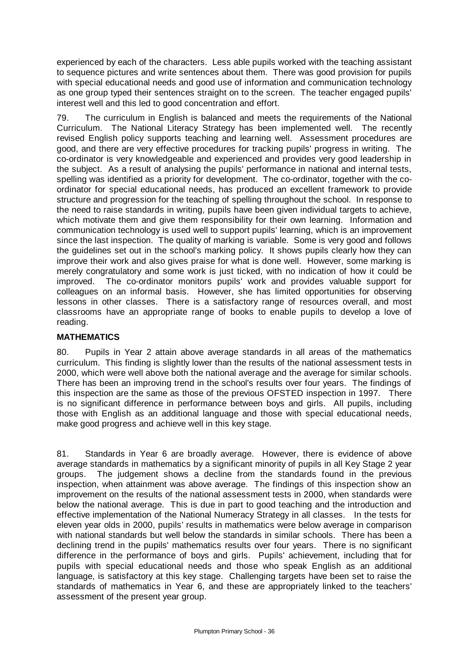experienced by each of the characters. Less able pupils worked with the teaching assistant to sequence pictures and write sentences about them. There was good provision for pupils with special educational needs and good use of information and communication technology as one group typed their sentences straight on to the screen. The teacher engaged pupils' interest well and this led to good concentration and effort.

79. The curriculum in English is balanced and meets the requirements of the National Curriculum. The National Literacy Strategy has been implemented well. The recently revised English policy supports teaching and learning well. Assessment procedures are good, and there are very effective procedures for tracking pupils' progress in writing. The co-ordinator is very knowledgeable and experienced and provides very good leadership in the subject. As a result of analysing the pupils' performance in national and internal tests, spelling was identified as a priority for development. The co-ordinator, together with the coordinator for special educational needs, has produced an excellent framework to provide structure and progression for the teaching of spelling throughout the school. In response to the need to raise standards in writing, pupils have been given individual targets to achieve, which motivate them and give them responsibility for their own learning. Information and communication technology is used well to support pupils' learning, which is an improvement since the last inspection. The quality of marking is variable. Some is very good and follows the guidelines set out in the school's marking policy. It shows pupils clearly how they can improve their work and also gives praise for what is done well. However, some marking is merely congratulatory and some work is just ticked, with no indication of how it could be improved. The co-ordinator monitors pupils' work and provides valuable support for colleagues on an informal basis. However, she has limited opportunities for observing lessons in other classes. There is a satisfactory range of resources overall, and most classrooms have an appropriate range of books to enable pupils to develop a love of reading.

# **MATHEMATICS**

80. Pupils in Year 2 attain above average standards in all areas of the mathematics curriculum. This finding is slightly lower than the results of the national assessment tests in 2000, which were well above both the national average and the average for similar schools. There has been an improving trend in the school's results over four years. The findings of this inspection are the same as those of the previous OFSTED inspection in 1997. There is no significant difference in performance between boys and girls. All pupils, including those with English as an additional language and those with special educational needs, make good progress and achieve well in this key stage.

81. Standards in Year 6 are broadly average. However, there is evidence of above average standards in mathematics by a significant minority of pupils in all Key Stage 2 year groups. The judgement shows a decline from the standards found in the previous inspection, when attainment was above average. The findings of this inspection show an improvement on the results of the national assessment tests in 2000, when standards were below the national average. This is due in part to good teaching and the introduction and effective implementation of the National Numeracy Strategy in all classes. In the tests for eleven year olds in 2000, pupils' results in mathematics were below average in comparison with national standards but well below the standards in similar schools. There has been a declining trend in the pupils' mathematics results over four years. There is no significant difference in the performance of boys and girls. Pupils' achievement, including that for pupils with special educational needs and those who speak English as an additional language, is satisfactory at this key stage. Challenging targets have been set to raise the standards of mathematics in Year 6, and these are appropriately linked to the teachers' assessment of the present year group.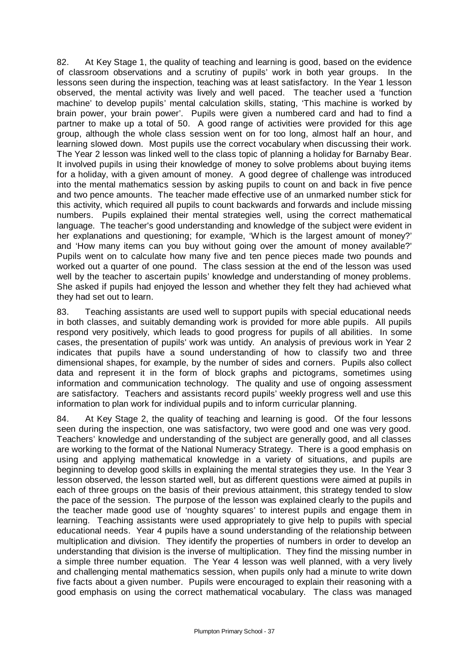82. At Key Stage 1, the quality of teaching and learning is good, based on the evidence of classroom observations and a scrutiny of pupils' work in both year groups. In the lessons seen during the inspection, teaching was at least satisfactory. In the Year 1 lesson observed, the mental activity was lively and well paced. The teacher used a 'function machine' to develop pupils' mental calculation skills, stating, 'This machine is worked by brain power, your brain power'. Pupils were given a numbered card and had to find a partner to make up a total of 50. A good range of activities were provided for this age group, although the whole class session went on for too long, almost half an hour, and learning slowed down. Most pupils use the correct vocabulary when discussing their work. The Year 2 lesson was linked well to the class topic of planning a holiday for Barnaby Bear. It involved pupils in using their knowledge of money to solve problems about buying items for a holiday, with a given amount of money. A good degree of challenge was introduced into the mental mathematics session by asking pupils to count on and back in five pence and two pence amounts. The teacher made effective use of an unmarked number stick for this activity, which required all pupils to count backwards and forwards and include missing numbers. Pupils explained their mental strategies well, using the correct mathematical language. The teacher's good understanding and knowledge of the subject were evident in her explanations and questioning; for example, 'Which is the largest amount of money?' and 'How many items can you buy without going over the amount of money available?' Pupils went on to calculate how many five and ten pence pieces made two pounds and worked out a quarter of one pound. The class session at the end of the lesson was used well by the teacher to ascertain pupils' knowledge and understanding of money problems. She asked if pupils had enjoyed the lesson and whether they felt they had achieved what they had set out to learn.

83. Teaching assistants are used well to support pupils with special educational needs in both classes, and suitably demanding work is provided for more able pupils. All pupils respond very positively, which leads to good progress for pupils of all abilities. In some cases, the presentation of pupils' work was untidy. An analysis of previous work in Year 2 indicates that pupils have a sound understanding of how to classify two and three dimensional shapes, for example, by the number of sides and corners. Pupils also collect data and represent it in the form of block graphs and pictograms, sometimes using information and communication technology. The quality and use of ongoing assessment are satisfactory. Teachers and assistants record pupils' weekly progress well and use this information to plan work for individual pupils and to inform curricular planning.

84. At Key Stage 2, the quality of teaching and learning is good. Of the four lessons seen during the inspection, one was satisfactory, two were good and one was very good. Teachers' knowledge and understanding of the subject are generally good, and all classes are working to the format of the National Numeracy Strategy. There is a good emphasis on using and applying mathematical knowledge in a variety of situations, and pupils are beginning to develop good skills in explaining the mental strategies they use. In the Year 3 lesson observed, the lesson started well, but as different questions were aimed at pupils in each of three groups on the basis of their previous attainment, this strategy tended to slow the pace of the session. The purpose of the lesson was explained clearly to the pupils and the teacher made good use of 'noughty squares' to interest pupils and engage them in learning. Teaching assistants were used appropriately to give help to pupils with special educational needs. Year 4 pupils have a sound understanding of the relationship between multiplication and division. They identify the properties of numbers in order to develop an understanding that division is the inverse of multiplication. They find the missing number in a simple three number equation. The Year 4 lesson was well planned, with a very lively and challenging mental mathematics session, when pupils only had a minute to write down five facts about a given number. Pupils were encouraged to explain their reasoning with a good emphasis on using the correct mathematical vocabulary. The class was managed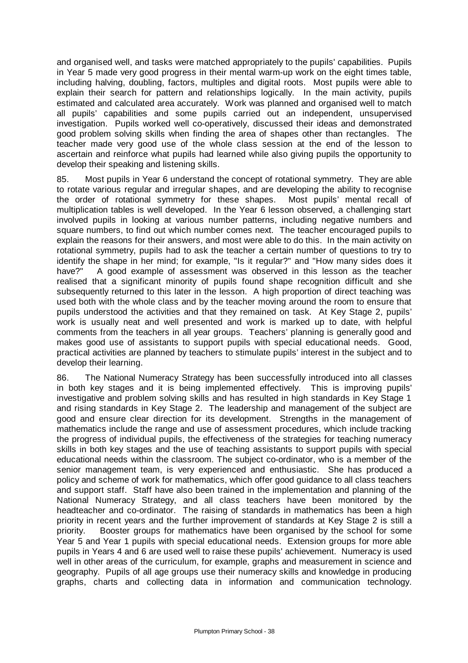and organised well, and tasks were matched appropriately to the pupils' capabilities. Pupils in Year 5 made very good progress in their mental warm-up work on the eight times table, including halving, doubling, factors, multiples and digital roots. Most pupils were able to explain their search for pattern and relationships logically. In the main activity, pupils estimated and calculated area accurately. Work was planned and organised well to match all pupils' capabilities and some pupils carried out an independent, unsupervised investigation. Pupils worked well co-operatively, discussed their ideas and demonstrated good problem solving skills when finding the area of shapes other than rectangles. The teacher made very good use of the whole class session at the end of the lesson to ascertain and reinforce what pupils had learned while also giving pupils the opportunity to develop their speaking and listening skills.

85. Most pupils in Year 6 understand the concept of rotational symmetry. They are able to rotate various regular and irregular shapes, and are developing the ability to recognise the order of rotational symmetry for these shapes. Most pupils' mental recall of multiplication tables is well developed. In the Year 6 lesson observed, a challenging start involved pupils in looking at various number patterns, including negative numbers and square numbers, to find out which number comes next. The teacher encouraged pupils to explain the reasons for their answers, and most were able to do this. In the main activity on rotational symmetry, pupils had to ask the teacher a certain number of questions to try to identify the shape in her mind; for example, "Is it regular?" and "How many sides does it have?" A good example of assessment was observed in this lesson as the teacher realised that a significant minority of pupils found shape recognition difficult and she subsequently returned to this later in the lesson. A high proportion of direct teaching was used both with the whole class and by the teacher moving around the room to ensure that pupils understood the activities and that they remained on task. At Key Stage 2, pupils' work is usually neat and well presented and work is marked up to date, with helpful comments from the teachers in all year groups. Teachers' planning is generally good and makes good use of assistants to support pupils with special educational needs. Good, practical activities are planned by teachers to stimulate pupils' interest in the subject and to develop their learning.

86. The National Numeracy Strategy has been successfully introduced into all classes in both key stages and it is being implemented effectively. This is improving pupils' investigative and problem solving skills and has resulted in high standards in Key Stage 1 and rising standards in Key Stage 2. The leadership and management of the subject are good and ensure clear direction for its development. Strengths in the management of mathematics include the range and use of assessment procedures, which include tracking the progress of individual pupils, the effectiveness of the strategies for teaching numeracy skills in both key stages and the use of teaching assistants to support pupils with special educational needs within the classroom. The subject co-ordinator, who is a member of the senior management team, is very experienced and enthusiastic. She has produced a policy and scheme of work for mathematics, which offer good guidance to all class teachers and support staff. Staff have also been trained in the implementation and planning of the National Numeracy Strategy, and all class teachers have been monitored by the headteacher and co-ordinator. The raising of standards in mathematics has been a high priority in recent years and the further improvement of standards at Key Stage 2 is still a priority. Booster groups for mathematics have been organised by the school for some Year 5 and Year 1 pupils with special educational needs. Extension groups for more able pupils in Years 4 and 6 are used well to raise these pupils' achievement. Numeracy is used well in other areas of the curriculum, for example, graphs and measurement in science and geography. Pupils of all age groups use their numeracy skills and knowledge in producing graphs, charts and collecting data in information and communication technology.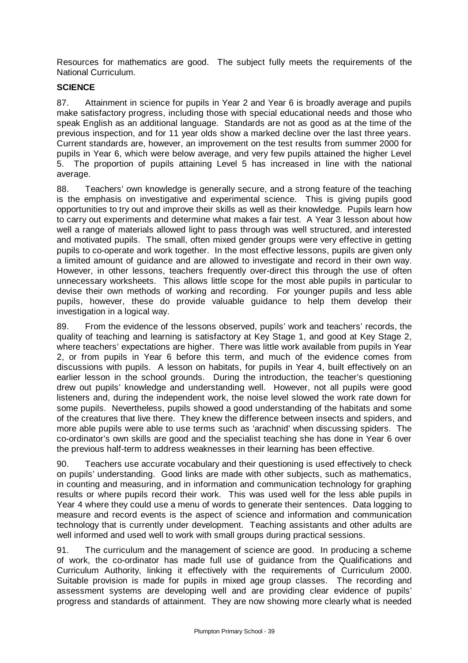Resources for mathematics are good. The subject fully meets the requirements of the National Curriculum.

## **SCIENCE**

87. Attainment in science for pupils in Year 2 and Year 6 is broadly average and pupils make satisfactory progress, including those with special educational needs and those who speak English as an additional language. Standards are not as good as at the time of the previous inspection, and for 11 year olds show a marked decline over the last three years. Current standards are, however, an improvement on the test results from summer 2000 for pupils in Year 6, which were below average, and very few pupils attained the higher Level 5. The proportion of pupils attaining Level 5 has increased in line with the national average.

88. Teachers' own knowledge is generally secure, and a strong feature of the teaching is the emphasis on investigative and experimental science. This is giving pupils good opportunities to try out and improve their skills as well as their knowledge. Pupils learn how to carry out experiments and determine what makes a fair test. A Year 3 lesson about how well a range of materials allowed light to pass through was well structured, and interested and motivated pupils. The small, often mixed gender groups were very effective in getting pupils to co-operate and work together. In the most effective lessons, pupils are given only a limited amount of guidance and are allowed to investigate and record in their own way. However, in other lessons, teachers frequently over-direct this through the use of often unnecessary worksheets. This allows little scope for the most able pupils in particular to devise their own methods of working and recording. For younger pupils and less able pupils, however, these do provide valuable guidance to help them develop their investigation in a logical way.

89. From the evidence of the lessons observed, pupils' work and teachers' records, the quality of teaching and learning is satisfactory at Key Stage 1, and good at Key Stage 2, where teachers' expectations are higher. There was little work available from pupils in Year 2, or from pupils in Year 6 before this term, and much of the evidence comes from discussions with pupils. A lesson on habitats, for pupils in Year 4, built effectively on an earlier lesson in the school grounds. During the introduction, the teacher's questioning drew out pupils' knowledge and understanding well. However, not all pupils were good listeners and, during the independent work, the noise level slowed the work rate down for some pupils. Nevertheless, pupils showed a good understanding of the habitats and some of the creatures that live there. They knew the difference between insects and spiders, and more able pupils were able to use terms such as 'arachnid' when discussing spiders. The co-ordinator's own skills are good and the specialist teaching she has done in Year 6 over the previous half-term to address weaknesses in their learning has been effective.

90. Teachers use accurate vocabulary and their questioning is used effectively to check on pupils' understanding. Good links are made with other subjects, such as mathematics, in counting and measuring, and in information and communication technology for graphing results or where pupils record their work. This was used well for the less able pupils in Year 4 where they could use a menu of words to generate their sentences. Data logging to measure and record events is the aspect of science and information and communication technology that is currently under development. Teaching assistants and other adults are well informed and used well to work with small groups during practical sessions.

91. The curriculum and the management of science are good. In producing a scheme of work, the co-ordinator has made full use of guidance from the Qualifications and Curriculum Authority, linking it effectively with the requirements of Curriculum 2000. Suitable provision is made for pupils in mixed age group classes. The recording and assessment systems are developing well and are providing clear evidence of pupils' progress and standards of attainment. They are now showing more clearly what is needed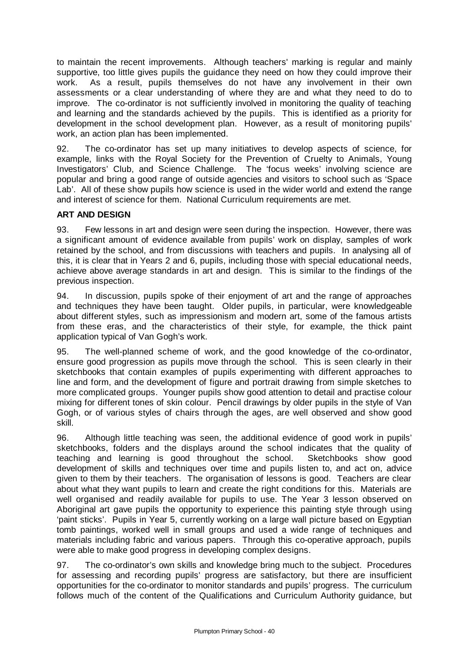to maintain the recent improvements. Although teachers' marking is regular and mainly supportive, too little gives pupils the guidance they need on how they could improve their work. As a result, pupils themselves do not have any involvement in their own assessments or a clear understanding of where they are and what they need to do to improve. The co-ordinator is not sufficiently involved in monitoring the quality of teaching and learning and the standards achieved by the pupils. This is identified as a priority for development in the school development plan. However, as a result of monitoring pupils' work, an action plan has been implemented.

92. The co-ordinator has set up many initiatives to develop aspects of science, for example, links with the Royal Society for the Prevention of Cruelty to Animals, Young Investigators' Club, and Science Challenge. The 'focus weeks' involving science are popular and bring a good range of outside agencies and visitors to school such as 'Space Lab'. All of these show pupils how science is used in the wider world and extend the range and interest of science for them. National Curriculum requirements are met.

## **ART AND DESIGN**

93. Few lessons in art and design were seen during the inspection. However, there was a significant amount of evidence available from pupils' work on display, samples of work retained by the school, and from discussions with teachers and pupils. In analysing all of this, it is clear that in Years 2 and 6, pupils, including those with special educational needs, achieve above average standards in art and design. This is similar to the findings of the previous inspection.

94. In discussion, pupils spoke of their enjoyment of art and the range of approaches and techniques they have been taught. Older pupils, in particular, were knowledgeable about different styles, such as impressionism and modern art, some of the famous artists from these eras, and the characteristics of their style, for example, the thick paint application typical of Van Gogh's work.

95. The well-planned scheme of work, and the good knowledge of the co-ordinator, ensure good progression as pupils move through the school. This is seen clearly in their sketchbooks that contain examples of pupils experimenting with different approaches to line and form, and the development of figure and portrait drawing from simple sketches to more complicated groups. Younger pupils show good attention to detail and practise colour mixing for different tones of skin colour. Pencil drawings by older pupils in the style of Van Gogh, or of various styles of chairs through the ages, are well observed and show good skill.

96. Although little teaching was seen, the additional evidence of good work in pupils' sketchbooks, folders and the displays around the school indicates that the quality of teaching and learning is good throughout the school. Sketchbooks show good development of skills and techniques over time and pupils listen to, and act on, advice given to them by their teachers. The organisation of lessons is good. Teachers are clear about what they want pupils to learn and create the right conditions for this. Materials are well organised and readily available for pupils to use. The Year 3 lesson observed on Aboriginal art gave pupils the opportunity to experience this painting style through using 'paint sticks'. Pupils in Year 5, currently working on a large wall picture based on Egyptian tomb paintings, worked well in small groups and used a wide range of techniques and materials including fabric and various papers. Through this co-operative approach, pupils were able to make good progress in developing complex designs.

97. The co-ordinator's own skills and knowledge bring much to the subject. Procedures for assessing and recording pupils' progress are satisfactory, but there are insufficient opportunities for the co-ordinator to monitor standards and pupils' progress. The curriculum follows much of the content of the Qualifications and Curriculum Authority guidance, but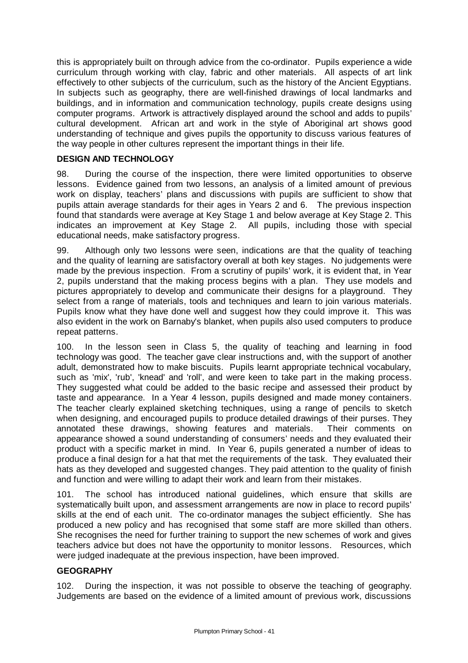this is appropriately built on through advice from the co-ordinator. Pupils experience a wide curriculum through working with clay, fabric and other materials. All aspects of art link effectively to other subjects of the curriculum, such as the history of the Ancient Egyptians. In subjects such as geography, there are well-finished drawings of local landmarks and buildings, and in information and communication technology, pupils create designs using computer programs. Artwork is attractively displayed around the school and adds to pupils' cultural development. African art and work in the style of Aboriginal art shows good understanding of technique and gives pupils the opportunity to discuss various features of the way people in other cultures represent the important things in their life.

#### **DESIGN AND TECHNOLOGY**

98. During the course of the inspection, there were limited opportunities to observe lessons. Evidence gained from two lessons, an analysis of a limited amount of previous work on display, teachers' plans and discussions with pupils are sufficient to show that pupils attain average standards for their ages in Years 2 and 6. The previous inspection found that standards were average at Key Stage 1 and below average at Key Stage 2. This indicates an improvement at Key Stage 2. All pupils, including those with special educational needs, make satisfactory progress.

99. Although only two lessons were seen, indications are that the quality of teaching and the quality of learning are satisfactory overall at both key stages. No judgements were made by the previous inspection. From a scrutiny of pupils' work, it is evident that, in Year 2, pupils understand that the making process begins with a plan. They use models and pictures appropriately to develop and communicate their designs for a playground. They select from a range of materials, tools and techniques and learn to join various materials. Pupils know what they have done well and suggest how they could improve it. This was also evident in the work on Barnaby's blanket, when pupils also used computers to produce repeat patterns.

100. In the lesson seen in Class 5, the quality of teaching and learning in food technology was good. The teacher gave clear instructions and, with the support of another adult, demonstrated how to make biscuits. Pupils learnt appropriate technical vocabulary, such as 'mix', 'rub', 'knead' and 'roll', and were keen to take part in the making process. They suggested what could be added to the basic recipe and assessed their product by taste and appearance. In a Year 4 lesson, pupils designed and made money containers. The teacher clearly explained sketching techniques, using a range of pencils to sketch when designing, and encouraged pupils to produce detailed drawings of their purses. They annotated these drawings, showing features and materials. Their comments on appearance showed a sound understanding of consumers' needs and they evaluated their product with a specific market in mind. In Year 6, pupils generated a number of ideas to produce a final design for a hat that met the requirements of the task. They evaluated their hats as they developed and suggested changes. They paid attention to the quality of finish and function and were willing to adapt their work and learn from their mistakes.

101. The school has introduced national guidelines, which ensure that skills are systematically built upon, and assessment arrangements are now in place to record pupils' skills at the end of each unit. The co-ordinator manages the subject efficiently. She has produced a new policy and has recognised that some staff are more skilled than others. She recognises the need for further training to support the new schemes of work and gives teachers advice but does not have the opportunity to monitor lessons. Resources, which were judged inadequate at the previous inspection, have been improved.

## **GEOGRAPHY**

102. During the inspection, it was not possible to observe the teaching of geography. Judgements are based on the evidence of a limited amount of previous work, discussions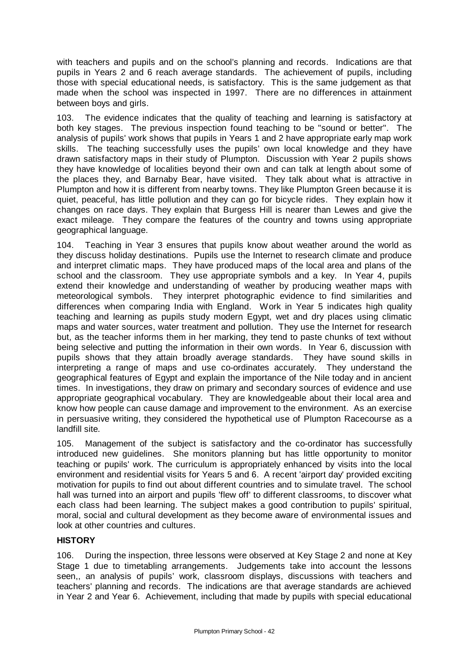with teachers and pupils and on the school's planning and records. Indications are that pupils in Years 2 and 6 reach average standards. The achievement of pupils, including those with special educational needs, is satisfactory. This is the same judgement as that made when the school was inspected in 1997. There are no differences in attainment between boys and girls.

103. The evidence indicates that the quality of teaching and learning is satisfactory at both key stages. The previous inspection found teaching to be "sound or better". The analysis of pupils' work shows that pupils in Years 1 and 2 have appropriate early map work skills. The teaching successfully uses the pupils' own local knowledge and they have drawn satisfactory maps in their study of Plumpton. Discussion with Year 2 pupils shows they have knowledge of localities beyond their own and can talk at length about some of the places they, and Barnaby Bear, have visited. They talk about what is attractive in Plumpton and how it is different from nearby towns. They like Plumpton Green because it is quiet, peaceful, has little pollution and they can go for bicycle rides. They explain how it changes on race days. They explain that Burgess Hill is nearer than Lewes and give the exact mileage. They compare the features of the country and towns using appropriate geographical language.

104. Teaching in Year 3 ensures that pupils know about weather around the world as they discuss holiday destinations. Pupils use the Internet to research climate and produce and interpret climatic maps. They have produced maps of the local area and plans of the school and the classroom. They use appropriate symbols and a key. In Year 4, pupils extend their knowledge and understanding of weather by producing weather maps with meteorological symbols. They interpret photographic evidence to find similarities and differences when comparing India with England. Work in Year 5 indicates high quality teaching and learning as pupils study modern Egypt, wet and dry places using climatic maps and water sources, water treatment and pollution. They use the Internet for research but, as the teacher informs them in her marking, they tend to paste chunks of text without being selective and putting the information in their own words. In Year 6, discussion with pupils shows that they attain broadly average standards. They have sound skills in interpreting a range of maps and use co-ordinates accurately. They understand the geographical features of Egypt and explain the importance of the Nile today and in ancient times. In investigations, they draw on primary and secondary sources of evidence and use appropriate geographical vocabulary. They are knowledgeable about their local area and know how people can cause damage and improvement to the environment. As an exercise in persuasive writing, they considered the hypothetical use of Plumpton Racecourse as a landfill site.

105. Management of the subject is satisfactory and the co-ordinator has successfully introduced new guidelines. She monitors planning but has little opportunity to monitor teaching or pupils' work. The curriculum is appropriately enhanced by visits into the local environment and residential visits for Years 5 and 6. A recent 'airport day' provided exciting motivation for pupils to find out about different countries and to simulate travel. The school hall was turned into an airport and pupils 'flew off' to different classrooms, to discover what each class had been learning. The subject makes a good contribution to pupils' spiritual, moral, social and cultural development as they become aware of environmental issues and look at other countries and cultures.

# **HISTORY**

106. During the inspection, three lessons were observed at Key Stage 2 and none at Key Stage 1 due to timetabling arrangements. Judgements take into account the lessons seen,, an analysis of pupils' work, classroom displays, discussions with teachers and teachers' planning and records. The indications are that average standards are achieved in Year 2 and Year 6. Achievement, including that made by pupils with special educational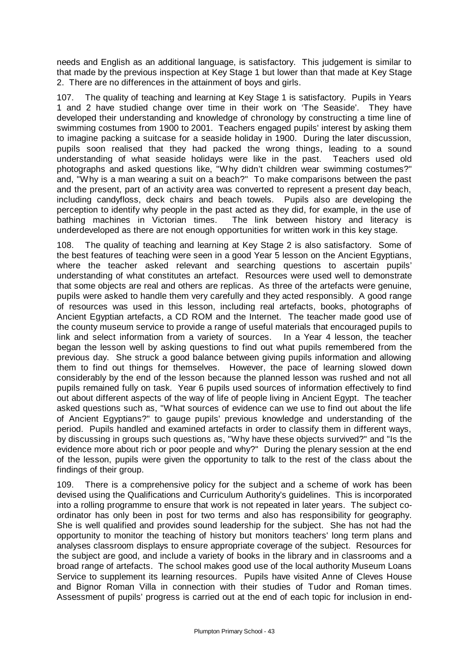needs and English as an additional language, is satisfactory. This judgement is similar to that made by the previous inspection at Key Stage 1 but lower than that made at Key Stage 2. There are no differences in the attainment of boys and girls.

107. The quality of teaching and learning at Key Stage 1 is satisfactory. Pupils in Years 1 and 2 have studied change over time in their work on 'The Seaside'. They have developed their understanding and knowledge of chronology by constructing a time line of swimming costumes from 1900 to 2001. Teachers engaged pupils' interest by asking them to imagine packing a suitcase for a seaside holiday in 1900. During the later discussion, pupils soon realised that they had packed the wrong things, leading to a sound understanding of what seaside holidays were like in the past. Teachers used old photographs and asked questions like, "Why didn't children wear swimming costumes?" and, "Why is a man wearing a suit on a beach?" To make comparisons between the past and the present, part of an activity area was converted to represent a present day beach, including candyfloss, deck chairs and beach towels. Pupils also are developing the perception to identify why people in the past acted as they did, for example, in the use of bathing machines in Victorian times. The link between history and literacy is underdeveloped as there are not enough opportunities for written work in this key stage.

108. The quality of teaching and learning at Key Stage 2 is also satisfactory. Some of the best features of teaching were seen in a good Year 5 lesson on the Ancient Egyptians, where the teacher asked relevant and searching questions to ascertain pupils' understanding of what constitutes an artefact. Resources were used well to demonstrate that some objects are real and others are replicas. As three of the artefacts were genuine, pupils were asked to handle them very carefully and they acted responsibly. A good range of resources was used in this lesson, including real artefacts, books, photographs of Ancient Egyptian artefacts, a CD ROM and the Internet. The teacher made good use of the county museum service to provide a range of useful materials that encouraged pupils to link and select information from a variety of sources. In a Year 4 lesson, the teacher began the lesson well by asking questions to find out what pupils remembered from the previous day. She struck a good balance between giving pupils information and allowing them to find out things for themselves. However, the pace of learning slowed down considerably by the end of the lesson because the planned lesson was rushed and not all pupils remained fully on task. Year 6 pupils used sources of information effectively to find out about different aspects of the way of life of people living in Ancient Egypt. The teacher asked questions such as, "What sources of evidence can we use to find out about the life of Ancient Egyptians?" to gauge pupils' previous knowledge and understanding of the period. Pupils handled and examined artefacts in order to classify them in different ways, by discussing in groups such questions as, "Why have these objects survived?" and "Is the evidence more about rich or poor people and why?" During the plenary session at the end of the lesson, pupils were given the opportunity to talk to the rest of the class about the findings of their group.

109. There is a comprehensive policy for the subject and a scheme of work has been devised using the Qualifications and Curriculum Authority's guidelines. This is incorporated into a rolling programme to ensure that work is not repeated in later years. The subject coordinator has only been in post for two terms and also has responsibility for geography. She is well qualified and provides sound leadership for the subject. She has not had the opportunity to monitor the teaching of history but monitors teachers' long term plans and analyses classroom displays to ensure appropriate coverage of the subject. Resources for the subject are good, and include a variety of books in the library and in classrooms and a broad range of artefacts. The school makes good use of the local authority Museum Loans Service to supplement its learning resources. Pupils have visited Anne of Cleves House and Bignor Roman Villa in connection with their studies of Tudor and Roman times. Assessment of pupils' progress is carried out at the end of each topic for inclusion in end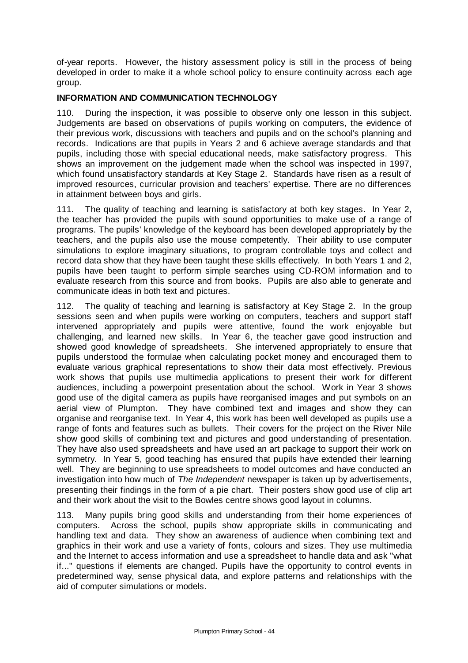of-year reports. However, the history assessment policy is still in the process of being developed in order to make it a whole school policy to ensure continuity across each age group.

## **INFORMATION AND COMMUNICATION TECHNOLOGY**

110. During the inspection, it was possible to observe only one lesson in this subject. Judgements are based on observations of pupils working on computers, the evidence of their previous work, discussions with teachers and pupils and on the school's planning and records. Indications are that pupils in Years 2 and 6 achieve average standards and that pupils, including those with special educational needs, make satisfactory progress. This shows an improvement on the judgement made when the school was inspected in 1997, which found unsatisfactory standards at Key Stage 2. Standards have risen as a result of improved resources, curricular provision and teachers' expertise. There are no differences in attainment between boys and girls.

111. The quality of teaching and learning is satisfactory at both key stages. In Year 2, the teacher has provided the pupils with sound opportunities to make use of a range of programs. The pupils' knowledge of the keyboard has been developed appropriately by the teachers, and the pupils also use the mouse competently. Their ability to use computer simulations to explore imaginary situations, to program controllable toys and collect and record data show that they have been taught these skills effectively. In both Years 1 and 2, pupils have been taught to perform simple searches using CD-ROM information and to evaluate research from this source and from books. Pupils are also able to generate and communicate ideas in both text and pictures.

112. The quality of teaching and learning is satisfactory at Key Stage 2. In the group sessions seen and when pupils were working on computers, teachers and support staff intervened appropriately and pupils were attentive, found the work enjoyable but challenging, and learned new skills. In Year 6, the teacher gave good instruction and showed good knowledge of spreadsheets. She intervened appropriately to ensure that pupils understood the formulae when calculating pocket money and encouraged them to evaluate various graphical representations to show their data most effectively. Previous work shows that pupils use multimedia applications to present their work for different audiences, including a powerpoint presentation about the school. Work in Year 3 shows good use of the digital camera as pupils have reorganised images and put symbols on an aerial view of Plumpton. They have combined text and images and show they can organise and reorganise text. In Year 4, this work has been well developed as pupils use a range of fonts and features such as bullets. Their covers for the project on the River Nile show good skills of combining text and pictures and good understanding of presentation. They have also used spreadsheets and have used an art package to support their work on symmetry. In Year 5, good teaching has ensured that pupils have extended their learning well. They are beginning to use spreadsheets to model outcomes and have conducted an investigation into how much of *The Independent* newspaper is taken up by advertisements, presenting their findings in the form of a pie chart. Their posters show good use of clip art and their work about the visit to the Bowles centre shows good layout in columns.

113. Many pupils bring good skills and understanding from their home experiences of computers. Across the school, pupils show appropriate skills in communicating and handling text and data. They show an awareness of audience when combining text and graphics in their work and use a variety of fonts, colours and sizes. They use multimedia and the Internet to access information and use a spreadsheet to handle data and ask "what if..." questions if elements are changed. Pupils have the opportunity to control events in predetermined way, sense physical data, and explore patterns and relationships with the aid of computer simulations or models.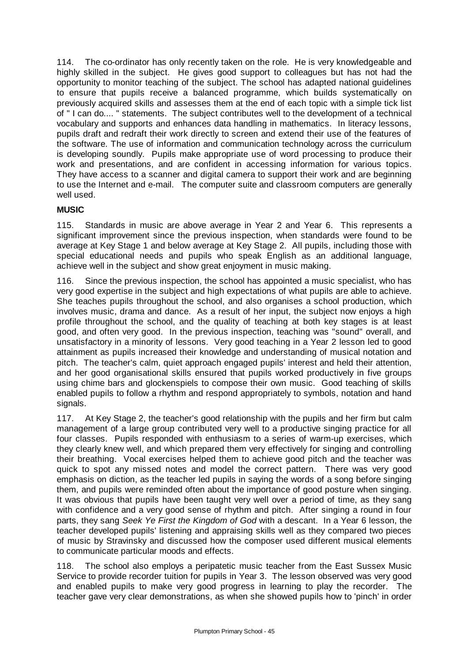114. The co-ordinator has only recently taken on the role. He is very knowledgeable and highly skilled in the subject. He gives good support to colleagues but has not had the opportunity to monitor teaching of the subject. The school has adapted national guidelines to ensure that pupils receive a balanced programme, which builds systematically on previously acquired skills and assesses them at the end of each topic with a simple tick list of " I can do.... " statements. The subject contributes well to the development of a technical vocabulary and supports and enhances data handling in mathematics. In literacy lessons, pupils draft and redraft their work directly to screen and extend their use of the features of the software. The use of information and communication technology across the curriculum is developing soundly. Pupils make appropriate use of word processing to produce their work and presentations, and are confident in accessing information for various topics. They have access to a scanner and digital camera to support their work and are beginning to use the Internet and e-mail. The computer suite and classroom computers are generally well used.

# **MUSIC**

115. Standards in music are above average in Year 2 and Year 6. This represents a significant improvement since the previous inspection, when standards were found to be average at Key Stage 1 and below average at Key Stage 2. All pupils, including those with special educational needs and pupils who speak English as an additional language, achieve well in the subject and show great enjoyment in music making.

116. Since the previous inspection, the school has appointed a music specialist, who has very good expertise in the subject and high expectations of what pupils are able to achieve. She teaches pupils throughout the school, and also organises a school production, which involves music, drama and dance. As a result of her input, the subject now enjoys a high profile throughout the school, and the quality of teaching at both key stages is at least good, and often very good. In the previous inspection, teaching was "sound" overall, and unsatisfactory in a minority of lessons. Very good teaching in a Year 2 lesson led to good attainment as pupils increased their knowledge and understanding of musical notation and pitch. The teacher's calm, quiet approach engaged pupils' interest and held their attention, and her good organisational skills ensured that pupils worked productively in five groups using chime bars and glockenspiels to compose their own music. Good teaching of skills enabled pupils to follow a rhythm and respond appropriately to symbols, notation and hand signals.

117. At Key Stage 2, the teacher's good relationship with the pupils and her firm but calm management of a large group contributed very well to a productive singing practice for all four classes. Pupils responded with enthusiasm to a series of warm-up exercises, which they clearly knew well, and which prepared them very effectively for singing and controlling their breathing. Vocal exercises helped them to achieve good pitch and the teacher was quick to spot any missed notes and model the correct pattern. There was very good emphasis on diction, as the teacher led pupils in saying the words of a song before singing them, and pupils were reminded often about the importance of good posture when singing. It was obvious that pupils have been taught very well over a period of time, as they sang with confidence and a very good sense of rhythm and pitch. After singing a round in four parts, they sang *Seek Ye First the Kingdom of God* with a descant. In a Year 6 lesson, the teacher developed pupils' listening and appraising skills well as they compared two pieces of music by Stravinsky and discussed how the composer used different musical elements to communicate particular moods and effects.

118. The school also employs a peripatetic music teacher from the East Sussex Music Service to provide recorder tuition for pupils in Year 3. The lesson observed was very good and enabled pupils to make very good progress in learning to play the recorder. The teacher gave very clear demonstrations, as when she showed pupils how to 'pinch' in order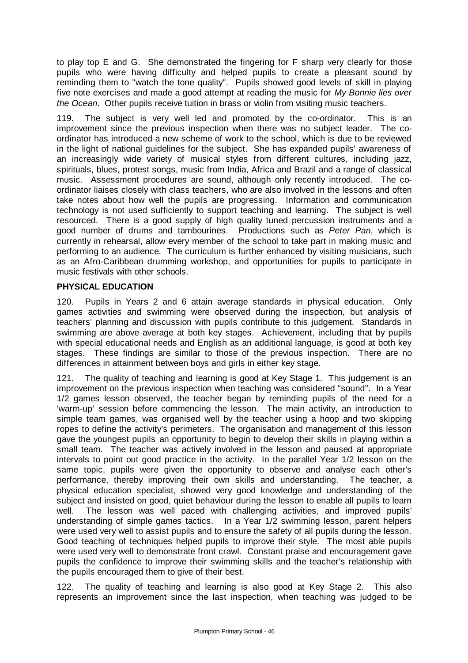to play top E and G. She demonstrated the fingering for F sharp very clearly for those pupils who were having difficulty and helped pupils to create a pleasant sound by reminding them to "watch the tone quality". Pupils showed good levels of skill in playing five note exercises and made a good attempt at reading the music for *My Bonnie lies over the Ocean*. Other pupils receive tuition in brass or violin from visiting music teachers.

119. The subject is very well led and promoted by the co-ordinator. This is an improvement since the previous inspection when there was no subject leader. The coordinator has introduced a new scheme of work to the school, which is due to be reviewed in the light of national guidelines for the subject. She has expanded pupils' awareness of an increasingly wide variety of musical styles from different cultures, including jazz, spirituals, blues, protest songs, music from India, Africa and Brazil and a range of classical music. Assessment procedures are sound, although only recently introduced. The coordinator liaises closely with class teachers, who are also involved in the lessons and often take notes about how well the pupils are progressing. Information and communication technology is not used sufficiently to support teaching and learning. The subject is well resourced. There is a good supply of high quality tuned percussion instruments and a good number of drums and tambourines. Productions such as *Peter Pan*, which is currently in rehearsal, allow every member of the school to take part in making music and performing to an audience. The curriculum is further enhanced by visiting musicians, such as an Afro-Caribbean drumming workshop, and opportunities for pupils to participate in music festivals with other schools.

## **PHYSICAL EDUCATION**

120. Pupils in Years 2 and 6 attain average standards in physical education. Only games activities and swimming were observed during the inspection, but analysis of teachers' planning and discussion with pupils contribute to this judgement. Standards in swimming are above average at both key stages. Achievement, including that by pupils with special educational needs and English as an additional language, is good at both key stages. These findings are similar to those of the previous inspection. There are no differences in attainment between boys and girls in either key stage.

121. The quality of teaching and learning is good at Key Stage 1. This judgement is an improvement on the previous inspection when teaching was considered "sound". In a Year 1/2 games lesson observed, the teacher began by reminding pupils of the need for a 'warm-up' session before commencing the lesson. The main activity, an introduction to simple team games, was organised well by the teacher using a hoop and two skipping ropes to define the activity's perimeters. The organisation and management of this lesson gave the youngest pupils an opportunity to begin to develop their skills in playing within a small team. The teacher was actively involved in the lesson and paused at appropriate intervals to point out good practice in the activity. In the parallel Year 1/2 lesson on the same topic, pupils were given the opportunity to observe and analyse each other's performance, thereby improving their own skills and understanding. The teacher, a physical education specialist, showed very good knowledge and understanding of the subject and insisted on good, quiet behaviour during the lesson to enable all pupils to learn well. The lesson was well paced with challenging activities, and improved pupils' understanding of simple games tactics. In a Year 1/2 swimming lesson, parent helpers were used very well to assist pupils and to ensure the safety of all pupils during the lesson. Good teaching of techniques helped pupils to improve their style. The most able pupils were used very well to demonstrate front crawl. Constant praise and encouragement gave pupils the confidence to improve their swimming skills and the teacher's relationship with the pupils encouraged them to give of their best.

122. The quality of teaching and learning is also good at Key Stage 2. This also represents an improvement since the last inspection, when teaching was judged to be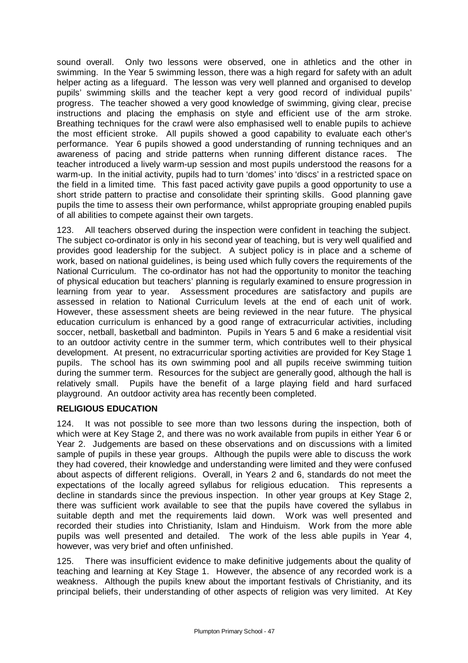sound overall. Only two lessons were observed, one in athletics and the other in swimming. In the Year 5 swimming lesson, there was a high regard for safety with an adult helper acting as a lifeguard. The lesson was very well planned and organised to develop pupils' swimming skills and the teacher kept a very good record of individual pupils' progress. The teacher showed a very good knowledge of swimming, giving clear, precise instructions and placing the emphasis on style and efficient use of the arm stroke. Breathing techniques for the crawl were also emphasised well to enable pupils to achieve the most efficient stroke. All pupils showed a good capability to evaluate each other's performance. Year 6 pupils showed a good understanding of running techniques and an awareness of pacing and stride patterns when running different distance races. The teacher introduced a lively warm-up session and most pupils understood the reasons for a warm-up. In the initial activity, pupils had to turn 'domes' into 'discs' in a restricted space on the field in a limited time. This fast paced activity gave pupils a good opportunity to use a short stride pattern to practise and consolidate their sprinting skills. Good planning gave pupils the time to assess their own performance, whilst appropriate grouping enabled pupils of all abilities to compete against their own targets.

123. All teachers observed during the inspection were confident in teaching the subject. The subject co-ordinator is only in his second year of teaching, but is very well qualified and provides good leadership for the subject. A subject policy is in place and a scheme of work, based on national guidelines, is being used which fully covers the requirements of the National Curriculum. The co-ordinator has not had the opportunity to monitor the teaching of physical education but teachers' planning is regularly examined to ensure progression in learning from year to year. Assessment procedures are satisfactory and pupils are assessed in relation to National Curriculum levels at the end of each unit of work. However, these assessment sheets are being reviewed in the near future. The physical education curriculum is enhanced by a good range of extracurricular activities, including soccer, netball, basketball and badminton. Pupils in Years 5 and 6 make a residential visit to an outdoor activity centre in the summer term, which contributes well to their physical development. At present, no extracurricular sporting activities are provided for Key Stage 1 pupils. The school has its own swimming pool and all pupils receive swimming tuition during the summer term. Resources for the subject are generally good, although the hall is relatively small. Pupils have the benefit of a large playing field and hard surfaced playground. An outdoor activity area has recently been completed.

# **RELIGIOUS EDUCATION**

124. It was not possible to see more than two lessons during the inspection, both of which were at Key Stage 2, and there was no work available from pupils in either Year 6 or Year 2. Judgements are based on these observations and on discussions with a limited sample of pupils in these year groups. Although the pupils were able to discuss the work they had covered, their knowledge and understanding were limited and they were confused about aspects of different religions. Overall, in Years 2 and 6, standards do not meet the expectations of the locally agreed syllabus for religious education. This represents a decline in standards since the previous inspection. In other year groups at Key Stage 2, there was sufficient work available to see that the pupils have covered the syllabus in suitable depth and met the requirements laid down. Work was well presented and recorded their studies into Christianity, Islam and Hinduism. Work from the more able pupils was well presented and detailed. The work of the less able pupils in Year 4, however, was very brief and often unfinished.

125. There was insufficient evidence to make definitive judgements about the quality of teaching and learning at Key Stage 1. However, the absence of any recorded work is a weakness. Although the pupils knew about the important festivals of Christianity, and its principal beliefs, their understanding of other aspects of religion was very limited. At Key